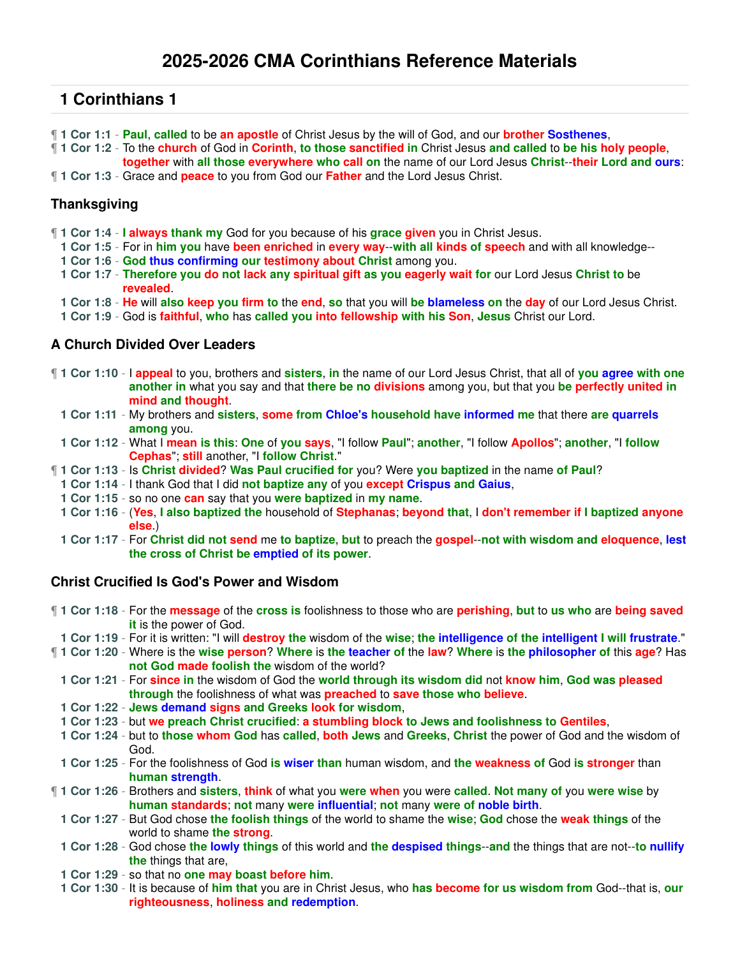- ¶ **1 Cor 1:1 Paul**, **called** to be **an apostle** of Christ Jesus by the will of God, and our **brother Sosthenes**,
- ¶ **1 Cor 1:2** To the **church** of God in **Corinth**, **to those sanctified in** Christ Jesus **and called** to **be his holy people**, **together** with **all those everywhere who call on** the name of our Lord Jesus **Christ**--**their Lord and ours**:
- ¶ **1 Cor 1:3** Grace and **peace** to you from God our **Father** and the Lord Jesus Christ.

### **Thanksgiving**

- ¶ **1 Cor 1:4 I always thank my** God for you because of his **grace given** you in Christ Jesus.
- **1 Cor 1:5** For in **him you** have **been enriched** in **every way**--**with all kinds of speech** and with all knowledge--
- **1 Cor 1:6 God thus confirming our testimony about Christ** among you.
- **1 Cor 1:7 Therefore you do not lack any spiritual gift as you eagerly wait for** our Lord Jesus **Christ to** be **revealed**.
- **1 Cor 1:8 He** will **also keep you firm to** the **end**, **so** that you will **be blameless on** the **day** of our Lord Jesus Christ.
- **1 Cor 1:9** God is **faithful**, **who** has **called you into fellowship with his Son**, **Jesus** Christ our Lord.

#### **A Church Divided Over Leaders**

- ¶ **1 Cor 1:10** I **appeal** to you, brothers and **sisters**, **in** the name of our Lord Jesus Christ, that all of **you agree with one another in** what you say and that **there be no divisions** among you, but that you **be perfectly united in mind and thought**.
	- **1 Cor 1:11** My brothers and **sisters**, **some from Chloe's household have informed me** that there **are quarrels among** you.
	- **1 Cor 1:12** What I **mean is this**: **One** of **you says**, "I follow **Paul**"; **another**, "I follow **Apollos**"; **another**, "I **follow Cephas**"; **still** another, "I **follow Christ**."
- ¶ **1 Cor 1:13** Is **Christ divided**? **Was Paul crucified for** you? Were **you baptized** in the name **of Paul**?
	- **1 Cor 1:14** I thank God that I did **not baptize any** of you **except Crispus and Gaius**,
- **1 Cor 1:15** so no one **can** say that you **were baptized** in **my name**.
- **1 Cor 1:16** (**Yes**, **I also baptized the** household of **Stephanas**; **beyond that**, I **don't remember if I baptized anyone else**.)
- **1 Cor 1:17** For **Christ did not send** me **to baptize**, **but** to preach the **gospel**--**not with wisdom and eloquence**, **lest the cross of Christ be emptied of its power**.

### **Christ Crucified Is God's Power and Wisdom**

- ¶ **1 Cor 1:18** For the **message** of the **cross is** foolishness to those who are **perishing**, **but** to **us who** are **being saved it** is the power of God.
- **1 Cor 1:19** For it is written: "I will **destroy the** wisdom of the **wise**; **the intelligence of the intelligent I will frustrate**."
- ¶ **1 Cor 1:20** Where is the **wise person**? **Where** is **the teacher of** the **law**? **Where** is **the philosopher of** this **age**? Has **not God made foolish the** wisdom of the world?
	- **1 Cor 1:21** For **since in** the wisdom of God the **world through its wisdom did** not **know him**, **God was pleased through** the foolishness of what was **preached** to **save those who believe**.
	- **1 Cor 1:22 Jews demand signs and Greeks look for wisdom**,
	- **1 Cor 1:23** but **we preach Christ crucified**: **a stumbling block to Jews and foolishness to Gentiles**,
	- **1 Cor 1:24** but to **those whom God** has **called**, **both Jews** and **Greeks**, **Christ** the power of God and the wisdom of God.
- **1 Cor 1:25** For the foolishness of God **is wiser than** human wisdom, and **the weakness of** God **is stronger** than **human strength**.
- ¶ **1 Cor 1:26** Brothers and **sisters**, **think** of what you **were when** you were **called**. **Not many of** you **were wise** by **human standards**; **not** many **were influential**; **not** many **were of noble birth**.
	- **1 Cor 1:27** But God chose **the foolish things** of the world to shame the **wise**; **God** chose the **weak things** of the world to shame **the strong**.
	- **1 Cor 1:28** God chose **the lowly things** of this world and **the despised things**--**and** the things that are not--**to nullify the** things that are,
	- **1 Cor 1:29** so that no **one may boast before him**.
	- **1 Cor 1:30** It is because of **him that** you are in Christ Jesus, who **has become for us wisdom from** God--that is, **our righteousness**, **holiness and redemption**.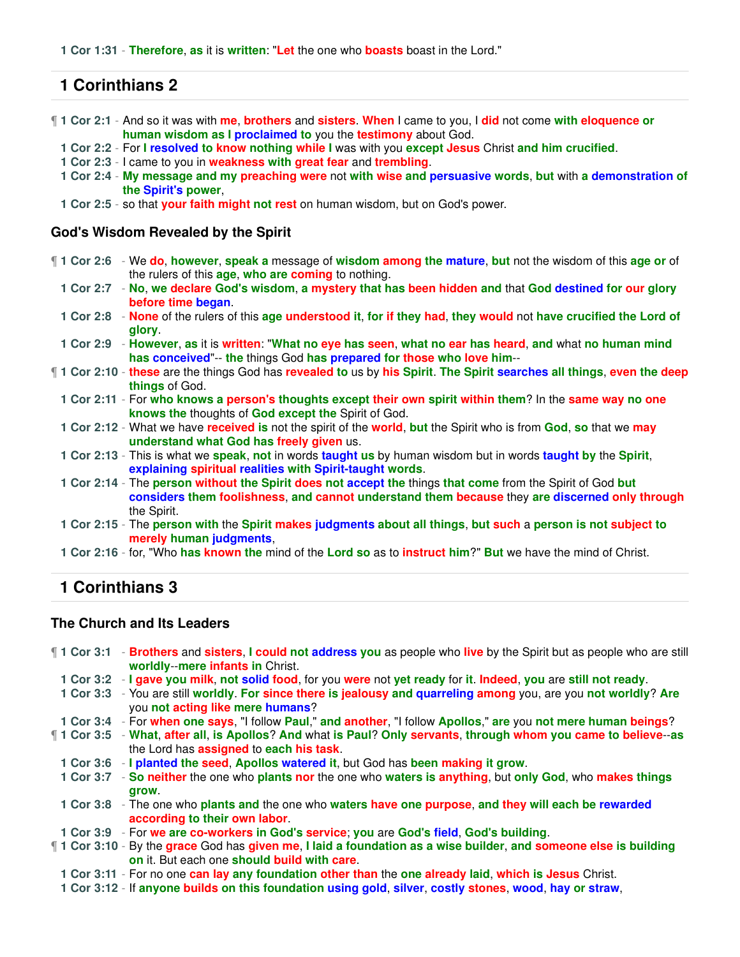¶ **1 Cor 2:1** - And so it was with **me**, **brothers** and **sisters**. **When** I came to you, I **did** not come **with eloquence or human wisdom as I proclaimed to** you the **testimony** about God.

- **1 Cor 2:2** For **I resolved to know nothing while I** was with you **except Jesus** Christ **and him crucified**.
- **1 Cor 2:3** I came to you in **weakness with great fear** and **trembling**.
- **1 Cor 2:4 My message and my preaching were** not **with wise and persuasive words**, **but** with **a demonstration of the Spirit's power**,
- **1 Cor 2:5** so that **your faith might not rest** on human wisdom, but on God's power.

#### **God's Wisdom Revealed by the Spirit**

- ¶ **1 Cor 2:6** We **do**, **however**, **speak a** message of **wisdom among the mature**, **but** not the wisdom of this **age or** of the rulers of this **age**, **who are coming** to nothing.
	- **1 Cor 2:7 No**, **we declare God's wisdom**, **a mystery that has been hidden and** that **God destined for our glory before time began**.
	- **1 Cor 2:8 None** of the rulers of this **age understood it**, **for if they had**, **they would** not **have crucified the Lord of glory**.
	- **1 Cor 2:9 However**, **as** it is **written**: "**What no eye has seen**, **what no ear has heard**, **and** what **no human mind has conceived**"-- **the** things God **has prepared for those who love him**--
- ¶ **1 Cor 2:10 these** are the things God has **revealed to** us by **his Spirit**. **The Spirit searches all things**, **even the deep things** of God.
	- **1 Cor 2:11** For **who knows a person's thoughts except their own spirit within them**? In the **same way no one knows the** thoughts of **God except the** Spirit of God.
	- **1 Cor 2:12** What we have **received is** not the spirit of the **world**, **but** the Spirit who is from **God**, **so** that we **may understand what God has freely given** us.
	- **1 Cor 2:13** This is what we **speak**, **not** in words **taught us** by human wisdom but in words **taught by** the **Spirit**, **explaining spiritual realities with Spirit-taught words**.
	- **1 Cor 2:14** The **person without the Spirit does not accept the** things **that come** from the Spirit of God **but considers them foolishness**, **and cannot understand them because** they **are discerned only through** the Spirit.
	- **1 Cor 2:15** The **person with** the **Spirit makes judgments about all things**, **but such** a **person is not subject to merely human judgments**,
	- **1 Cor 2:16** for, "Who **has known the** mind of the **Lord so** as to **instruct him**?" **But** we have the mind of Christ.

# **1 Corinthians 3**

#### **The Church and Its Leaders**

- ¶ **1 Cor 3:1 Brothers** and **sisters**, **I could not address you** as people who **live** by the Spirit but as people who are still **worldly**--**mere infants in** Christ.
	- **1 Cor 3:2 I gave you milk**, **not solid food**, for you **were** not **yet ready** for **it**. **Indeed**, **you** are **still not ready**.
	- **1 Cor 3:3** You are still **worldly**. **For since there is jealousy and quarreling among** you, are you **not worldly**? **Are** you **not acting like mere humans**?
- **1 Cor 3:4** For **when one says**, "I follow **Paul**," **and another**, "I follow **Apollos**," **are** you **not mere human beings**?
- ¶ **1 Cor 3:5 What**, **after all**, **is Apollos**? **And** what **is Paul**? **Only servants**, **through whom you came to believe**--**as** the Lord has **assigned** to **each his task**.
	- **1 Cor 3:6 I planted the seed**, **Apollos watered it**, but God has **been making it grow**.
	- **1 Cor 3:7 So neither** the one who **plants nor** the one who **waters is anything**, but **only God**, who **makes things grow**.
	- **1 Cor 3:8** The one who **plants and** the one who **waters have one purpose**, **and they will each be rewarded according to their own labor**.
- **1 Cor 3:9** For **we are co-workers in God's service**; **you** are **God's field**, **God's building**.
- ¶ **1 Cor 3:10** By the **grace** God has **given me**, **I laid a foundation as a wise builder**, **and someone else is building on** it. But each one **should build with care**.
- **1 Cor 3:11** For no one **can lay any foundation other than** the **one already laid**, **which is Jesus** Christ.
- **1 Cor 3:12** If **anyone builds on this foundation using gold**, **silver**, **costly stones**, **wood**, **hay or straw**,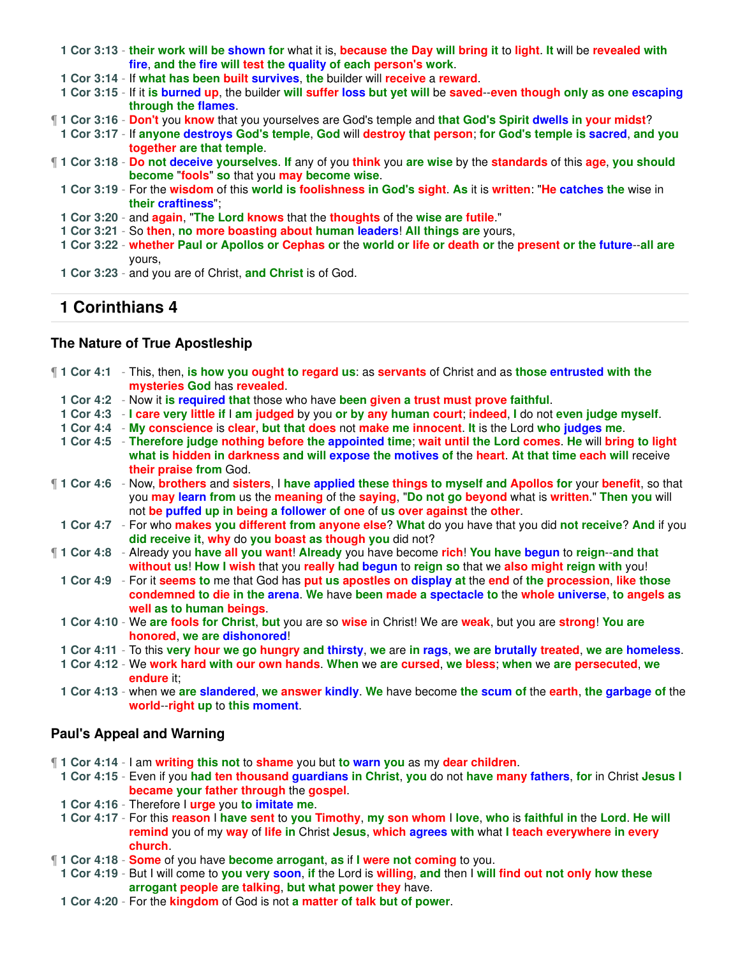- **1 Cor 3:13 their work will be shown for** what it is, **because the Day will bring it** to **light**. **It** will be **revealed with fire**, **and the fire will test the quality of each person's work**.
- **1 Cor 3:14** If **what has been built survives**, **the** builder will **receive** a **reward**.
- **1 Cor 3:15** If it **is burned up**, the builder **will suffer loss but yet will** be **saved**--**even though only as one escaping through the flames**.
- ¶ **1 Cor 3:16 Don't** you **know** that you yourselves are God's temple and **that God's Spirit dwells in your midst**?
	- **1 Cor 3:17** If **anyone destroys God's temple**, **God** will **destroy that person**; **for God's temple is sacred**, **and you together are that temple**.
- ¶ **1 Cor 3:18 Do not deceive yourselves**. **If** any of you **think** you **are wise** by the **standards** of this **age**, **you should become** "**fools**" **so** that you **may become wise**.
	- **1 Cor 3:19** For the **wisdom** of this **world is foolishness in God's sight**. **As** it is **written**: "**He catches the** wise in **their craftiness**";
	- **1 Cor 3:20** and **again**, "**The Lord knows** that the **thoughts** of the **wise are futile**."
	- **1 Cor 3:21** So **then**, **no more boasting about human leaders**! **All things are** yours,
	- **1 Cor 3:22 whether Paul or Apollos or Cephas or** the **world or life or death or** the **present or the future**--**all are** yours,
	- **1 Cor 3:23** and you are of Christ, **and Christ** is of God.

### **The Nature of True Apostleship**

- ¶ **1 Cor 4:1** This, then, **is how you ought to regard us**: as **servants** of Christ and as **those entrusted with the mysteries God** has **revealed**.
	- **1 Cor 4:2** Now it **is required that** those who have **been given a trust must prove faithful**.
	- **1 Cor 4:3 I care very little if** I **am judged** by you **or by any human court**; **indeed**, **I** do not **even judge myself**.
	- **1 Cor 4:4 My conscience** is **clear**, **but that does** not **make me innocent**. **It** is the Lord **who judges me**.
	- **1 Cor 4:5 Therefore judge nothing before the appointed time**; **wait until the Lord comes**. **He** will **bring to light what is hidden in darkness and will expose the motives of** the **heart**. **At that time each will** receive **their praise from** God.
- ¶ **1 Cor 4:6** Now, **brothers** and **sisters**, I **have applied these things to myself and Apollos for** your **benefit**, so that you **may learn from** us the **meaning** of the **saying**, "**Do not go beyond** what is **written**." **Then you** will not **be puffed up in being a follower of one** of **us over against** the **other**.
	- **1 Cor 4:7** For who **makes you different from anyone else**? **What** do you have that you did **not receive**? **And** if you **did receive it**, **why** do **you boast as though you** did not?
- ¶ **1 Cor 4:8** Already you **have all you want**! **Already** you have become **rich**! **You have begun** to **reign**--**and that without us**! **How I wish** that you **really had begun** to **reign so** that we **also might reign with** you!
	- **1 Cor 4:9** For it **seems to** me that God has **put us apostles on display at** the **end** of **the procession**, **like those condemned to die in the arena**. **We** have **been made a spectacle to** the **whole universe**, **to angels as well as to human beings**.
	- **1 Cor 4:10** We **are fools for Christ**, **but** you are so **wise** in Christ! We are **weak**, but you are **strong**! **You are honored**, **we are dishonored**!
	- **1 Cor 4:11** To this **very hour we go hungry and thirsty**, **we** are **in rags**, **we are brutally treated**, **we are homeless**.
	- **1 Cor 4:12** We **work hard with our own hands**. **When** we **are cursed**, **we bless**; **when** we **are persecuted**, **we endure** it;
	- **1 Cor 4:13** when we **are slandered**, **we answer kindly**. **We** have become **the scum of** the **earth**, **the garbage of** the **world**--**right up** to **this moment**.

### **Paul's Appeal and Warning**

- ¶ **1 Cor 4:14** I am **writing this not** to **shame** you but **to warn you** as my **dear children**.
	- **1 Cor 4:15** Even if you **had ten thousand guardians in Christ**, **you** do not **have many fathers**, **for** in Christ **Jesus I became your father through** the **gospel**.
	- **1 Cor 4:16** Therefore I **urge** you **to imitate me**.
	- **1 Cor 4:17** For this **reason** I **have sent** to **you Timothy**, **my son whom** I **love**, **who** is **faithful in** the **Lord**. **He will remind** you of my **way** of **life in** Christ **Jesus**, **which agrees with** what **I teach everywhere in every church**.
- ¶ **1 Cor 4:18 Some** of you have **become arrogant**, **as** if **I were not coming** to you.
	- **1 Cor 4:19** But I will come to **you very soon**, **if** the Lord is **willing**, **and** then I **will find out not only how these arrogant people are talking**, **but what power they** have.
	- **1 Cor 4:20** For the **kingdom** of God is not **a matter of talk but of power**.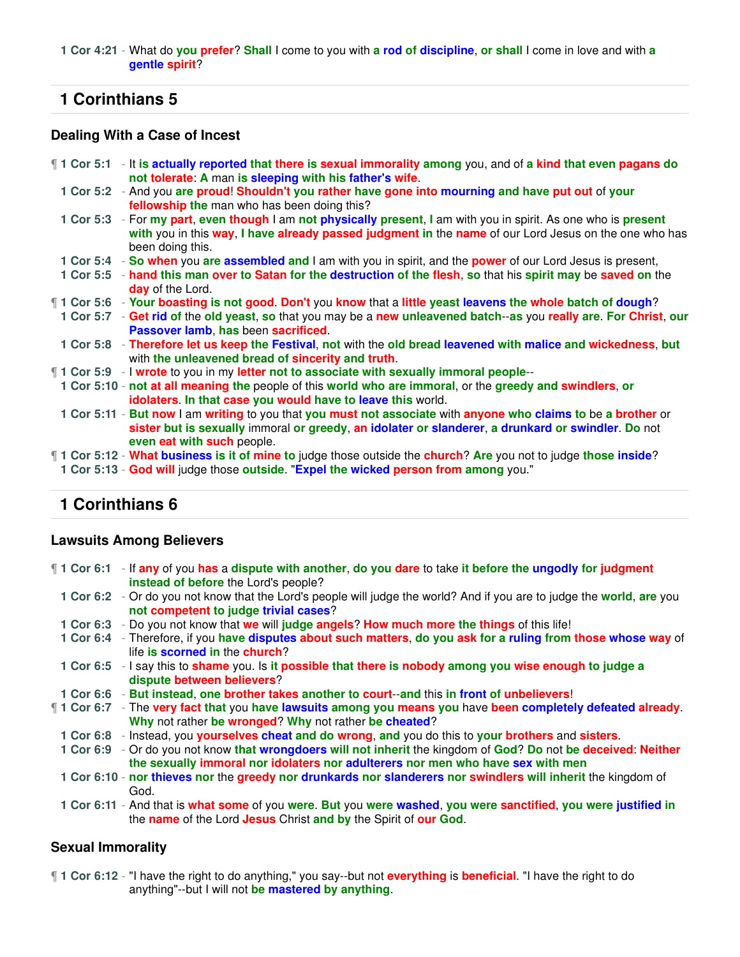#### **1 Cor 4:21** - What do **you prefer**? **Shall** I come to you with **a rod of discipline**, **or shall** I come in love and with **a gentle spirit**?

# **1 Corinthians 5**

## **Dealing With a Case of Incest**

- ¶ **1 Cor 5:1** It **is actually reported that there is sexual immorality among** you, and of **a kind that even pagans do not tolerate**: **A** man **is sleeping with his father's wife**.
	- **1 Cor 5:2** And you **are proud**! **Shouldn't you rather have gone into mourning and have put out** of **your fellowship the** man who has been doing this?
	- **1 Cor 5:3** For **my part**, **even though** I am **not physically present**, **I** am with you in spirit. As one who is **present with** you in this **way**, **I have already passed judgment in** the **name** of our Lord Jesus on the one who has been doing this.
	- **1 Cor 5:4 So when** you **are assembled and** I am with you in spirit, and the **power** of our Lord Jesus is present,
- **1 Cor 5:5 hand this man over to Satan for the destruction of the flesh**, **so** that his **spirit may** be **saved on** the **day** of the Lord.
- ¶ **1 Cor 5:6 Your boasting is not good**. **Don't** you **know** that a **little yeast leavens the whole batch of dough**?
- **1 Cor 5:7 Get rid of** the **old yeast**, **so** that you may be a **new unleavened batch**--**as** you **really are**. **For Christ**, **our Passover lamb**, **has** been **sacrificed**.
- **1 Cor 5:8 Therefore let us keep the Festival**, **not** with the **old bread leavened with malice and wickedness**, **but** with **the unleavened bread of sincerity and truth**.
- ¶ **1 Cor 5:9** I **wrote** to you in my **letter not to associate with sexually immoral people**--
- **1 Cor 5:10 not at all meaning the** people of this **world who are immoral**, or the **greedy and swindlers**, **or idolaters**. **In that case you would have to leave this** world.
- **1 Cor 5:11 But now** I am **writing** to you that **you must not associate** with **anyone who claims to** be **a brother** or **sister but is sexually** immoral **or greedy**, **an idolater or slanderer**, **a drunkard or swindler**. **Do** not **even eat with such** people.
- ¶ **1 Cor 5:12 What business is it of mine to** judge those outside the **church**? **Are** you not to judge **those inside**?
- **1 Cor 5:13 God will** judge those **outside**. "**Expel the wicked person from among** you."

# **1 Corinthians 6**

### **Lawsuits Among Believers**

- ¶ **1 Cor 6:1** If **any** of you **has** a **dispute with another**, **do you dare** to take **it before the ungodly for judgment instead of before** the Lord's people?
	- **1 Cor 6:2** Or do you not know that the Lord's people will judge the world? And if you are to judge the **world**, **are** you **not competent to judge trivial cases**?
	- **1 Cor 6:3** Do you not know that **we** will **judge angels**? **How much more the things** of this life!
	- **1 Cor 6:4** Therefore, if you **have disputes about such matters**, **do you ask for a ruling from those whose way** of life **is scorned in** the **church**?
	- **1 Cor 6:5** I say this to **shame** you. Is **it possible that there is nobody among you wise enough to judge a dispute between believers**?
- **1 Cor 6:6 But instead**, **one brother takes another to court**--**and** this **in front of unbelievers**!
- ¶ **1 Cor 6:7** The **very fact that** you **have lawsuits among you means you** have **been completely defeated already**. **Why** not rather **be wronged**? **Why** not rather **be cheated**?
	- **1 Cor 6:8** Instead, you **yourselves cheat and do wrong**, **and** you do this to **your brothers** and **sisters**.
	- **1 Cor 6:9** Or do you not know **that wrongdoers will not inherit** the kingdom of **God**? **Do** not **be deceived**: **Neither the sexually immoral nor idolaters nor adulterers nor men who have sex with men**
	- **1 Cor 6:10 nor thieves nor** the **greedy nor drunkards nor slanderers nor swindlers will inherit** the kingdom of God.
	- **1 Cor 6:11** And that is **what some** of you **were**. **But** you **were washed**, **you were sanctified**, **you were justified in** the **name** of the Lord **Jesus** Christ **and by** the Spirit of **our God**.

### **Sexual Immorality**

¶ **1 Cor 6:12** - "I have the right to do anything," you say--but not **everything** is **beneficial**. "I have the right to do anything"--but I will not **be mastered by anything**.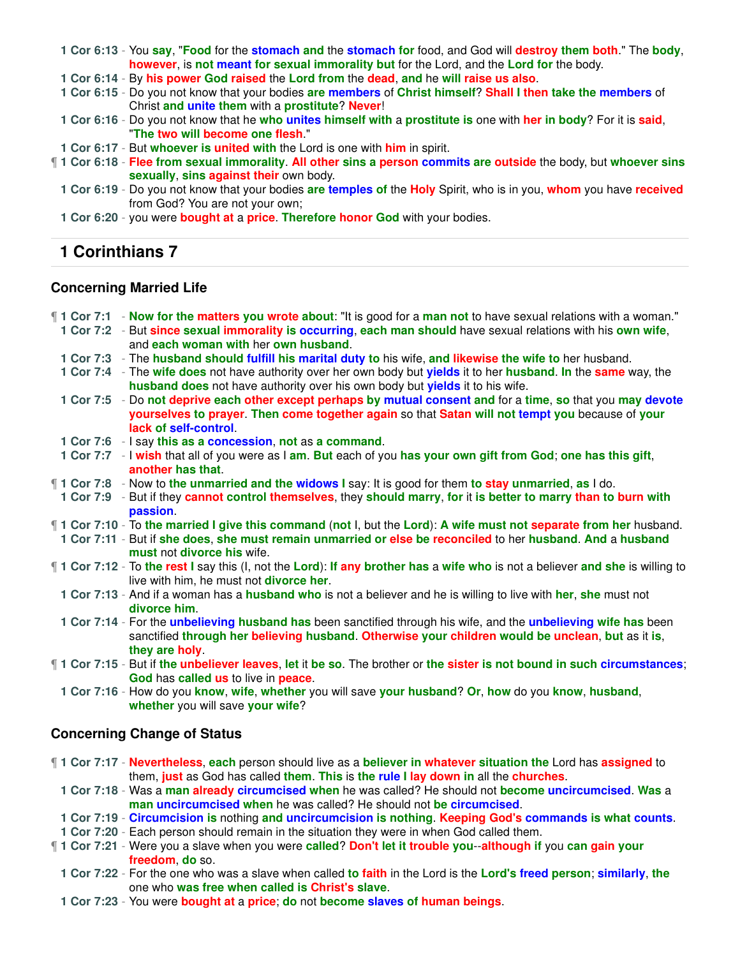**1 Cor 6:13** - You **say**, "**Food** for the **stomach and** the **stomach for** food, and God will **destroy them both**." The **body**, **however**, is **not meant for sexual immorality but** for the Lord, and the **Lord for** the body.

**1 Cor 6:14** - By **his power God raised** the **Lord from** the **dead**, **and** he **will raise us also**.

**1 Cor 6:15** - Do you not know that your bodies **are members** of **Christ himself**? **Shall I then take the members** of Christ **and unite them** with a **prostitute**? **Never**!

**1 Cor 6:16** - Do you not know that he **who unites himself with** a **prostitute is** one with **her in body**? For it is **said**, "**The two will become one flesh**."

**1 Cor 6:17** - But **whoever is united with** the Lord is one with **him** in spirit.

- ¶ **1 Cor 6:18 Flee from sexual immorality**. **All other sins a person commits are outside** the body, but **whoever sins sexually**, **sins against their** own body.
	- **1 Cor 6:19** Do you not know that your bodies **are temples of** the **Holy** Spirit, who is in you, **whom** you have **received** from God? You are not your own;
	- **1 Cor 6:20** you were **bought at** a **price**. **Therefore honor God** with your bodies.

# **1 Corinthians 7**

#### **Concerning Married Life**

| 1 Cor 7:1 - Now for the matters you wrote about: "It is good for a man not to have sexual relations with a woman."<br>1 Cor 7:2 - But since sexual immorality is occurring, each man should have sexual relations with his own wife,      |
|-------------------------------------------------------------------------------------------------------------------------------------------------------------------------------------------------------------------------------------------|
| and each woman with her own husband.                                                                                                                                                                                                      |
| 1 Cor 7:3 - The husband should fulfill his marital duty to his wife, and likewise the wife to her husband.                                                                                                                                |
| 1 Cor 7:4 - The wife does not have authority over her own body but yields it to her husband. In the same way, the<br>husband does not have authority over his own body but yields it to his wife.                                         |
| 1 Cor 7:5 - Do not deprive each other except perhaps by mutual consent and for a time, so that you may devote<br>yourselves to prayer. Then come together again so that Satan will not tempt you because of your<br>lack of self-control. |
| 1 Cor 7:6 - I say this as a concession, not as a command.                                                                                                                                                                                 |
| 1 Cor 7:7 - I wish that all of you were as I am. But each of you has your own gift from God; one has this gift,<br>another has that.                                                                                                      |
| 1 Cor 7:8 - Now to the unmarried and the widows I say: It is good for them to stay unmarried, as I do.                                                                                                                                    |
| 1 Cor 7:9 - But if they cannot control themselves, they should marry, for it is better to marry than to burn with<br>passion.                                                                                                             |
| 1 Cor 7:10 - To the married I give this command (not I, but the Lord): A wife must not separate from her husband.                                                                                                                         |
| 1 Cor 7:11 - But if she does, she must remain unmarried or else be reconciled to her husband. And a husband<br>must not divorce his wife.                                                                                                 |
| 1 Cor 7:12 - To the rest I say this (I, not the Lord): If any brother has a wife who is not a believer and she is willing to<br>live with him, he must not <b>divorce her.</b>                                                            |
| 1 Cor 7:13 - And if a woman has a husband who is not a believer and he is willing to live with her, she must not<br>divorce him.                                                                                                          |
| 1 Cor 7:14 - For the unbelieving husband has been sanctified through his wife, and the unbelieving wife has been<br>sanctified through her believing husband. Otherwise your children would be unclean, but as it is,<br>they are holy.   |
| [1 1 Cor 7:15 - But if the unbeliever leaves, let it be so. The brother or the sister is not bound in such circumstances;<br>God has called us to live in peace.                                                                          |
| 1 Cor 7:16 - How do you know, wife, whether you will save your husband? Or, how do you know, husband,<br>whether you will save your wife?                                                                                                 |
| <b>Concerning Change of Status</b>                                                                                                                                                                                                        |
| 1 Cor 7:17 - Nevertheless, each person should live as a believer in whatever situation the Lord has assigned to<br>them, just as God has called them. This is the rule I lay down in all the churches.                                    |

**1 Cor 7:18** - Was a **man already circumcised when** he was called? He should not **become uncircumcised**. **Was** a **man uncircumcised when** he was called? He should not **be circumcised**.

**1 Cor 7:19** - **Circumcision is** nothing **and uncircumcision is nothing**. **Keeping God's commands is what counts**.

**1 Cor 7:20** - Each person should remain in the situation they were in when God called them.

¶ **1 Cor 7:21** - Were you a slave when you were **called**? **Don't let it trouble you**--**although if** you **can gain your freedom**, **do** so.

**1 Cor 7:22** - For the one who was a slave when called **to faith** in the Lord is the **Lord's freed person**; **similarly**, **the** one who **was free when called is Christ's slave**.

**1 Cor 7:23** - You were **bought at** a **price**; **do** not **become slaves of human beings**.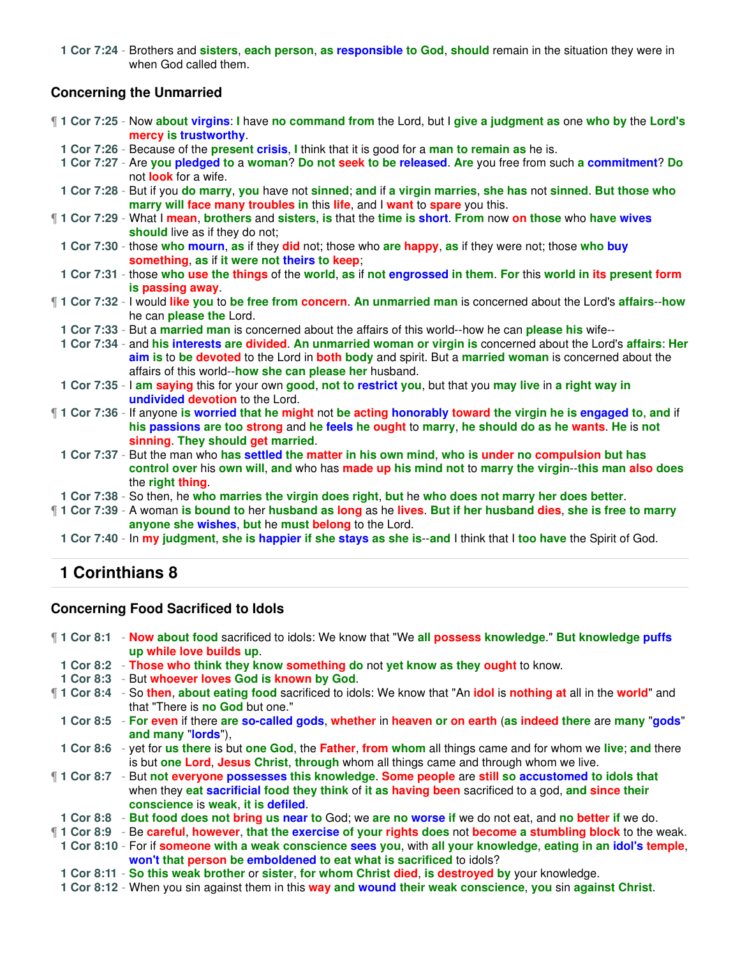**1 Cor 7:24** - Brothers and **sisters**, **each person**, **as responsible to God**, **should** remain in the situation they were in when God called them.

### **Concerning the Unmarried**

- ¶ **1 Cor 7:25** Now **about virgins**: **I** have **no command from** the Lord, but I **give a judgment as** one **who by** the **Lord's mercy is trustworthy**.
- **1 Cor 7:26** Because of the **present crisis**, **I** think that it is good for a **man to remain as** he is.
- **1 Cor 7:27** Are **you pledged to** a **woman**? **Do not seek to be released**. **Are** you free from such **a commitment**? **Do** not **look** for a wife.
- **1 Cor 7:28** But if you **do marry**, **you** have not **sinned**; **and** if **a virgin marries**, **she has** not **sinned**. **But those who marry will face many troubles in** this **life**, and I **want** to **spare** you this.
- ¶ **1 Cor 7:29** What I **mean**, **brothers** and **sisters**, **is** that the **time is short**. **From** now **on those** who **have wives** should live as if they do not;
- **1 Cor 7:30** those **who mourn**, **as** if they **did** not; those who **are happy**, **as** if they were not; those **who buy something**, **as** if **it were not theirs to keep**;
- **1 Cor 7:31** those **who use the things** of the **world**, **as** if **not engrossed in them**. **For** this **world in its present form is passing away**.
- ¶ **1 Cor 7:32** I would **like you** to **be free from concern**. **An unmarried man** is concerned about the Lord's **affairs**--**how** he can **please the** Lord.
	- **1 Cor 7:33** But a **married man** is concerned about the affairs of this world--how he can **please his** wife--
	- **1 Cor 7:34** and **his interests are divided**. **An unmarried woman or virgin is** concerned about the Lord's **affairs**: **Her aim is** to **be devoted** to the Lord in **both body** and spirit. But a **married woman** is concerned about the affairs of this world--**how she can please her** husband.
	- **1 Cor 7:35** I **am saying** this for your own **good**, **not to restrict you**, but that you **may live** in **a right way in undivided devotion** to the Lord.
- ¶ **1 Cor 7:36** If anyone **is worried that he might** not **be acting honorably toward the virgin he is engaged to**, **and** if **his passions are too strong** and **he feels he ought** to **marry**, **he should do as he wants**. **He** is **not sinning**. **They should get married**.
	- **1 Cor 7:37** But the man who **has settled the matter in his own mind**, **who is under no compulsion but has control over** his **own will**, **and** who has **made up his mind not** to **marry the virgin**--**this man also does** the **right thing**.
- **1 Cor 7:38** So then, he **who marries the virgin does right**, **but** he **who does not marry her does better**.
- ¶ **1 Cor 7:39** A woman **is bound to** her **husband as long** as he **lives**. **But if her husband dies**, **she is free to marry anyone she wishes**, **but** he **must belong** to the Lord.
	- **1 Cor 7:40** In **my judgment**, **she is happier if she stays as she is**--**and** I think that I **too have** the Spirit of God.

# **1 Corinthians 8**

### **Concerning Food Sacrificed to Idols**

¶ **1 Cor 8:1** - **Now about food** sacrificed to idols: We know that "We **all possess knowledge**." **But knowledge puffs up while love builds up**.

- **1 Cor 8:2 Those who think they know something do** not **yet know as they ought** to know.
- **1 Cor 8:3** But **whoever loves God is known by God**.
- ¶ **1 Cor 8:4** So **then**, **about eating food** sacrificed to idols: We know that "An **idol** is **nothing at** all in the **world**" and that "There is **no God** but one."
	- **1 Cor 8:5 For even** if there **are so-called gods**, **whether** in **heaven or on earth** (**as indeed there** are **many** "**gods**" **and many** "**lords**"),
- **1 Cor 8:6** yet for **us there** is but **one God**, the **Father**, **from whom** all things came and for whom we **live**; **and** there is but **one Lord**, **Jesus Christ**, **through** whom all things came and through whom we live.
- ¶ **1 Cor 8:7** But **not everyone possesses this knowledge**. **Some people** are **still so accustomed to idols that** when they **eat sacrificial food they think** of **it as having been** sacrificed to a god, **and since their conscience** is **weak**, **it is defiled**.
- **1 Cor 8:8 But food does not bring us near to** God; we **are no worse if** we do not eat, and **no better if** we do.
- ¶ **1 Cor 8:9** Be **careful**, **however**, **that the exercise of your rights does** not **become a stumbling block** to the weak. **1 Cor 8:10** - For if **someone with a weak conscience sees you**, with **all your knowledge**, **eating in an idol's temple**,
	- **won't that person be emboldened to eat what is sacrificed** to idols?
	- **1 Cor 8:11 So this weak brother** or **sister**, **for whom Christ died**, **is destroyed by** your knowledge.
	- **1 Cor 8:12** When you sin against them in this **way and wound their weak conscience**, **you** sin **against Christ**.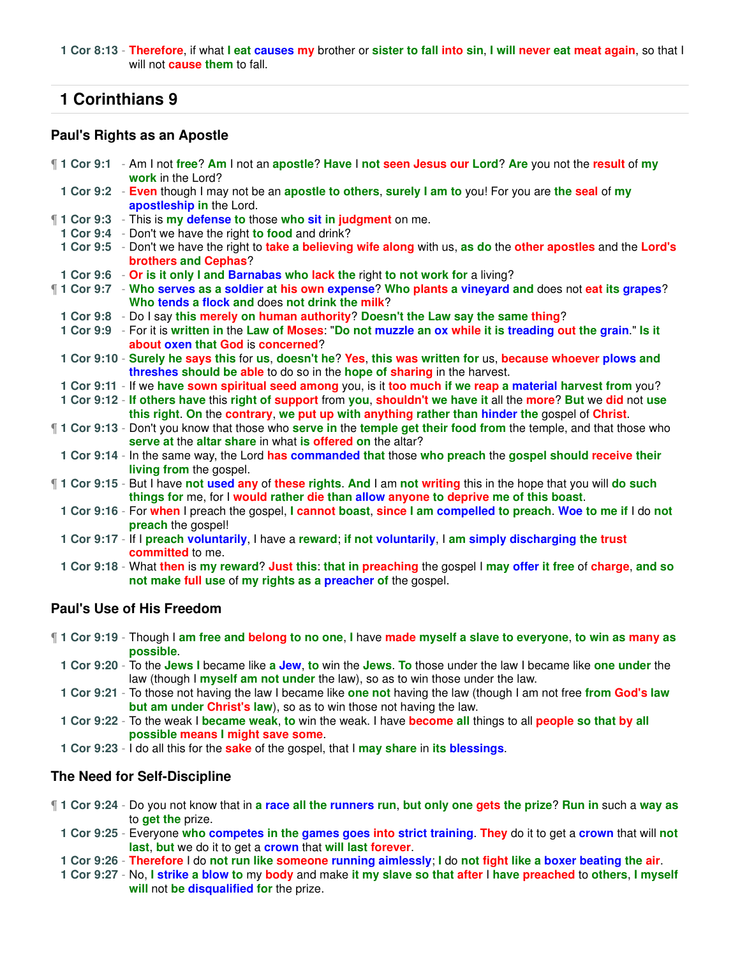**1 Cor 8:13** - **Therefore**, if what **I eat causes my** brother or **sister to fall into sin**, **I will never eat meat again**, so that I will not **cause them** to fall.

# **1 Corinthians 9**

### **Paul's Rights as an Apostle**

| 1 Cor 9:1 - Am I not free? Am I not an apostle? Have I not seen Jesus our Lord? Are you not the result of my<br>work in the Lord?                                                                                  |
|--------------------------------------------------------------------------------------------------------------------------------------------------------------------------------------------------------------------|
| 1 Cor 9:2 - Even though I may not be an apostle to others, surely I am to you! For you are the seal of my<br>apostleship in the Lord.                                                                              |
| 11 Cor 9:3 - This is my defense to those who sit in judgment on me.                                                                                                                                                |
| 1 Cor 9:4 - Don't we have the right to food and drink?                                                                                                                                                             |
| 1 Cor 9:5 - Don't we have the right to take a believing wife along with us, as do the other apostles and the Lord's<br>brothers and Cephas?                                                                        |
| 1 Cor 9:6 - Or is it only I and Barnabas who lack the right to not work for a living?                                                                                                                              |
| 1 Cor 9:7 - Who serves as a soldier at his own expense? Who plants a vineyard and does not eat its grapes?<br>Who tends a flock and does not drink the milk?                                                       |
|                                                                                                                                                                                                                    |
| 1 Cor 9:8 - Do I say this merely on human authority? Doesn't the Law say the same thing?                                                                                                                           |
| 1 Cor 9:9 - For it is written in the Law of Moses: "Do not muzzle an ox while it is treading out the grain." Is it<br>about oxen that God is concerned?                                                            |
| 1 Cor 9:10 - Surely he says this for us, doesn't he? Yes, this was written for us, because whoever plows and<br>threshes should be able to do so in the hope of sharing in the harvest.                            |
| 1 Cor 9:11 - If we have sown spiritual seed among you, is it too much if we reap a material harvest from you?                                                                                                      |
| 1 Cor 9:12 - If others have this right of support from you, shouldn't we have it all the more? But we did not use<br>this right. On the contrary, we put up with anything rather than hinder the gospel of Christ. |
| 1 Cor 9:13 - Don't you know that those who <b>serve in</b> the temple get their food from the temple, and that those who<br>serve at the altar share in what is offered on the altar?                              |
| 1 Cor 9:14 - In the same way, the Lord has commanded that those who preach the gospel should receive their<br>living from the gospel.                                                                              |
| 1 Cor 9:15 - But I have not used any of these rights. And I am not writing this in the hope that you will do such<br>things for me, for I would rather die than allow anyone to deprive me of this boast.          |
| 1 Cor 9:16 - For when I preach the gospel, I cannot boast, since I am compelled to preach. Woe to me if I do not<br>preach the gospel!                                                                             |
| 1 Cor 9:17 - If I preach voluntarily, I have a reward; if not voluntarily, I am simply discharging the trust<br>committed to me.                                                                                   |
| 1 Cor 9:18 - What then is my reward? Just this: that in preaching the gospel I may offer it free of charge, and so<br>not make full use of my rights as a preacher of the gospel.                                  |

## **Paul's Use of His Freedom**

| 1 Cor 9:19 - Though I am free and belong to no one, I have made myself a slave to everyone, to win as many as      |
|--------------------------------------------------------------------------------------------------------------------|
| possible.                                                                                                          |
| 1 Cor 9:20 - To the Jews I became like a Jew, to win the Jews. To those under the law I became like one under the  |
| law (though I myself am not under the law), so as to win those under the law.                                      |
| 1 Cor 9:21 - To those not having the law I became like one not having the law (though I am not free from God's law |
| but am under Christ's law), so as to win those not having the law.                                                 |
| 1 Cor 9:22 - To the weak I became weak, to win the weak. I have become all things to all people so that by all     |
| possible means I might save some.                                                                                  |

**1 Cor 9:23** - I do all this for the **sake** of the gospel, that I **may share** in **its blessings**.

## **The Need for Self-Discipline**

- ¶ **1 Cor 9:24** Do you not know that in **a race all the runners run**, **but only one gets the prize**? **Run in** such a **way as** to **get the** prize.
	- **1 Cor 9:25** Everyone **who competes in the games goes into strict training**. **They** do it to get a **crown** that will **not last**, **but** we do it to get a **crown** that **will last forever**.
	- **1 Cor 9:26 Therefore** I do **not run like someone running aimlessly**; **I** do **not fight like a boxer beating the air**.
	- **1 Cor 9:27** No, **I strike a blow to** my **body** and make **it my slave so that after** I **have preached** to **others**, **I myself will** not **be disqualified for** the prize.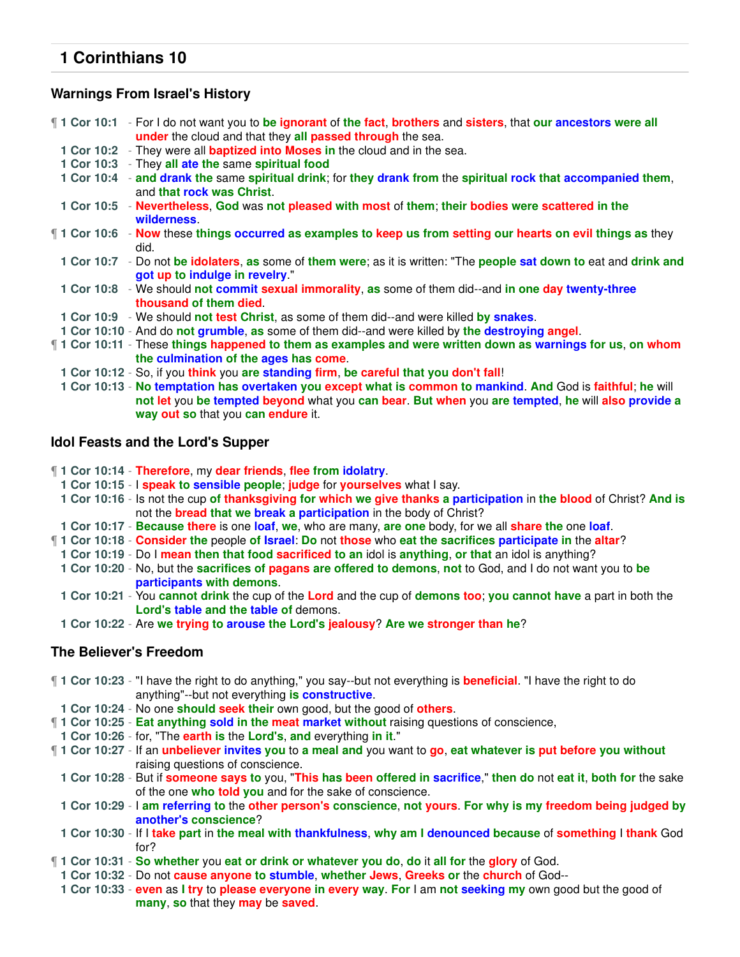### **Warnings From Israel's History**

¶ **1 Cor 10:1** - For I do not want you to **be ignorant** of **the fact**, **brothers** and **sisters**, that **our ancestors were all under** the cloud and that they **all passed through** the sea. **1 Cor 10:2** - They were all **baptized into Moses in** the cloud and in the sea. **1 Cor 10:3** - They **all ate the** same **spiritual food 1 Cor 10:4** - **and drank the** same **spiritual drink**; for **they drank from** the **spiritual rock that accompanied them**, and **that rock was Christ**. **1 Cor 10:5** - **Nevertheless**, **God** was **not pleased with most** of **them**; **their bodies were scattered in the wilderness**. ¶ **1 Cor 10:6** - **Now** these **things occurred as examples to keep us from setting our hearts on evil things as** they did. **1 Cor 10:7** - Do not **be idolaters**, **as** some of **them were**; as it is written: "The **people sat down to** eat and **drink and got up to indulge in revelry**." **1 Cor 10:8** - We should **not commit sexual immorality**, **as** some of them did--and **in one day twenty-three thousand of them died**. **1 Cor 10:9** - We should **not test Christ**, as some of them did--and were killed **by snakes**. **1 Cor 10:10** - And do **not grumble**, **as** some of them did--and were killed by **the destroying angel**. ¶ **1 Cor 10:11** - These **things happened to them as examples and were written down as warnings for us**, **on whom the culmination of the ages has come**. **1 Cor 10:12** - So, if you **think** you **are standing firm**, **be careful that you don't fall**! **1 Cor 10:13** - **No temptation has overtaken you except what is common to mankind**. **And** God is **faithful**; **he** will **not let** you **be tempted beyond** what you **can bear**. **But when** you **are tempted**, **he** will **also provide a**

### **Idol Feasts and the Lord's Supper**

¶ **1 Cor 10:14** - **Therefore**, my **dear friends**, **flee from idolatry**.

**way out so** that you **can endure** it.

- **1 Cor 10:15** I **speak to sensible people**; **judge** for **yourselves** what I say.
- **1 Cor 10:16** Is not the cup **of thanksgiving for which we give thanks a participation** in **the blood** of Christ? **And is** not the **bread that we break a participation** in the body of Christ?
- **1 Cor 10:17 Because there** is one **loaf**, **we**, who are many, **are one** body, for we all **share the** one **loaf**.
- ¶ **1 Cor 10:18 Consider the** people **of Israel**: **Do** not **those** who **eat the sacrifices participate in** the **altar**?
- **1 Cor 10:19** Do I **mean then that food sacrificed to an** idol is **anything**, **or that** an idol is anything?
- **1 Cor 10:20** No, but the **sacrifices of pagans are offered to demons**, **not** to God, and I do not want you to **be participants with demons**.
- **1 Cor 10:21** You **cannot drink** the cup of the **Lord** and the cup of **demons too**; **you cannot have** a part in both the **Lord's table and the table of** demons.
- **1 Cor 10:22** Are **we trying to arouse the Lord's jealousy**? **Are we stronger than he**?

#### **The Believer's Freedom**

- ¶ **1 Cor 10:23** "I have the right to do anything," you say--but not everything is **beneficial**. "I have the right to do anything"--but not everything **is constructive**. **1 Cor 10:24** - No one **should seek their** own good, but the good of **others**.
- 
- ¶ **1 Cor 10:25 Eat anything sold in the meat market without** raising questions of conscience,
- **1 Cor 10:26** for, "The **earth is** the **Lord's**, **and** everything **in it**."
- ¶ **1 Cor 10:27** If an **unbeliever invites you** to **a meal and** you want to **go**, **eat whatever is put before you without** raising questions of conscience.

**1 Cor 10:28** - But if **someone says to** you, "**This has been offered in sacrifice**," **then do** not **eat it**, **both for** the sake of the one **who told you** and for the sake of conscience.

**1 Cor 10:29** - I **am referring to** the **other person's conscience**, **not yours**. **For why is my freedom being judged by another's conscience**?

- **1 Cor 10:30** If I **take part** in **the meal with thankfulness**, **why am I denounced because** of **something** I **thank** God for?
- ¶ **1 Cor 10:31 So whether** you **eat or drink or whatever you do**, **do** it **all for** the **glory** of God.
	- **1 Cor 10:32** Do not **cause anyone to stumble**, **whether Jews**, **Greeks or** the **church** of God--
	- **1 Cor 10:33 even** as **I try** to **please everyone in every way**. **For** I am **not seeking my** own good but the good of **many**, **so** that they **may** be **saved**.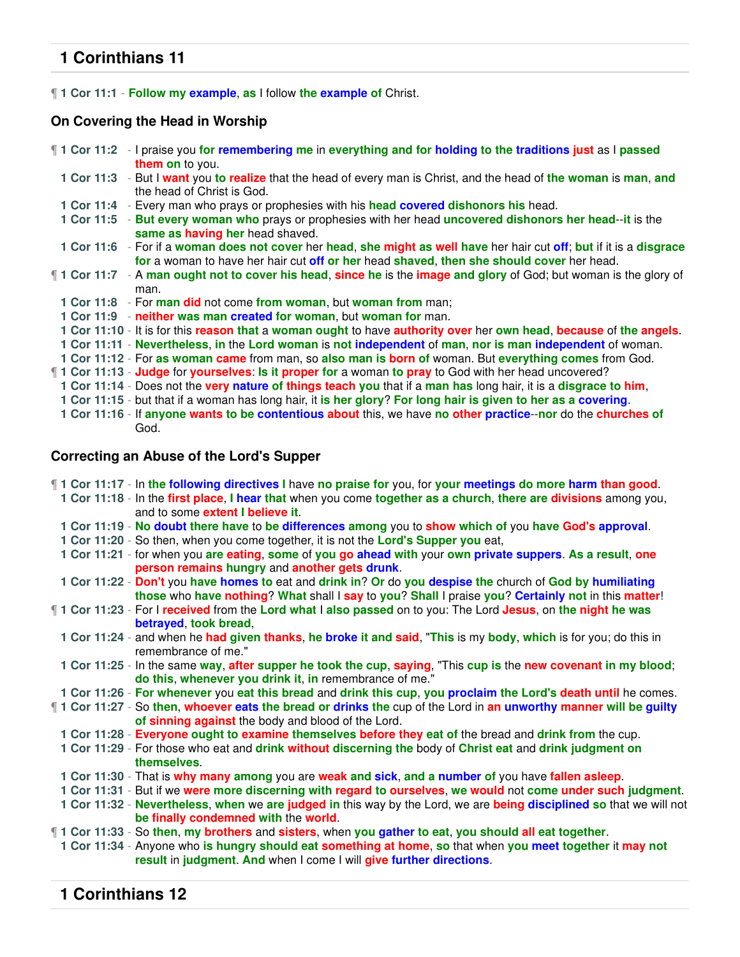¶ **1 Cor 11:1** - **Follow my example**, **as** I follow **the example of** Christ.

# **On Covering the Head in Worship**

| <b>1 Cor 11:2</b> - I praise you for remembering me in everything and for holding to the traditions just as I passed                                                                                              |
|-------------------------------------------------------------------------------------------------------------------------------------------------------------------------------------------------------------------|
| them on to you.                                                                                                                                                                                                   |
| 1 Cor 11:3 - But I want you to realize that the head of every man is Christ, and the head of the woman is man, and<br>the head of Christ is God.                                                                  |
| 1 Cor 11:4 - Every man who prays or prophesies with his head covered dishonors his head.                                                                                                                          |
|                                                                                                                                                                                                                   |
| 1 Cor 11:5 - But every woman who prays or prophesies with her head uncovered dishonors her head--it is the<br>same as having her head shaved.                                                                     |
| 1 Cor 11:6 - For if a woman does not cover her head, she might as well have her hair cut off; but if it is a disgrace<br>for a woman to have her hair cut off or her head shaved, then she should cover her head. |
| 1 Cor 11:7 - A man ought not to cover his head, since he is the image and glory of God; but woman is the glory of<br>man.                                                                                         |
| 1 Cor 11:8 - For man did not come from woman, but woman from man;                                                                                                                                                 |
| 1 Cor 11:9 - neither was man created for woman, but woman for man.                                                                                                                                                |
| 1 Cor 11:10 - It is for this reason that a woman ought to have authority over her own head, because of the angels.                                                                                                |
| 1 Cor 11:11 - Nevertheless, in the Lord woman is not independent of man, nor is man independent of woman.                                                                                                         |
| 1 Cor 11:12 - For as woman came from man, so also man is born of woman. But everything comes from God.                                                                                                            |
| 1 Cor 11:13 - Judge for yourselves: Is it proper for a woman to pray to God with her head uncovered?                                                                                                              |
| 1 Cor 11:14 - Does not the very nature of things teach you that if a man has long hair, it is a disgrace to him,                                                                                                  |
| 1 Cor 11:15 - but that if a woman has long hair, it is her glory? For long hair is given to her as a covering.                                                                                                    |
| 1 Cor 11:16 - If anyone wants to be contentious about this, we have no other practice--nor do the churches of                                                                                                     |
| God.                                                                                                                                                                                                              |
|                                                                                                                                                                                                                   |

## **Correcting an Abuse of the Lord's Supper**

| <b>1 Cor 11:17</b> - In the following directives I have no praise for you, for your meetings do more harm than good.                                                              |
|-----------------------------------------------------------------------------------------------------------------------------------------------------------------------------------|
| 1 Cor 11:18 - In the first place, I hear that when you come together as a church, there are divisions among you,<br>and to some <b>extent I believe it.</b>                       |
| 1 Cor 11:19 - No doubt there have to be differences among you to show which of you have God's approval.                                                                           |
| 1 Cor 11:20 - So then, when you come together, it is not the Lord's Supper you eat,                                                                                               |
| 1 Cor 11:21 - for when you are eating, some of you go ahead with your own private suppers. As a result, one                                                                       |
| person remains hungry and another gets drunk.                                                                                                                                     |
| 1 Cor 11:22 - Don't you have homes to eat and drink in? Or do you despise the church of God by humiliating                                                                        |
| those who have nothing? What shall I say to you? Shall I praise you? Certainly not in this matter!                                                                                |
| If 1 Cor 11:23 - For I received from the Lord what I also passed on to you: The Lord Jesus, on the night he was<br>betrayed, took bread,                                          |
| 1 Cor 11:24 - and when he had given thanks, he broke it and said, "This is my body, which is for you; do this in<br>remembrance of me."                                           |
| 1 Cor 11:25 - In the same way, after supper he took the cup, saying, "This cup is the new covenant in my blood;<br>do this, whenever you drink it, in remembrance of me."         |
| 1 Cor 11:26 - For whenever you eat this bread and drink this cup, you proclaim the Lord's death until he comes.                                                                   |
| If 1 Cor 11:27 - So then, whoever eats the bread or drinks the cup of the Lord in an unworthy manner will be guilty<br>of sinning against the body and blood of the Lord.         |
| 1 Cor 11:28 - Everyone ought to examine themselves before they eat of the bread and drink from the cup.                                                                           |
| 1 Cor 11:29 - For those who eat and drink without discerning the body of Christ eat and drink judgment on<br>themselves.                                                          |
| 1 Cor 11:30 - That is why many among you are weak and sick, and a number of you have fallen asleep.                                                                               |
| 1 Cor 11:31 - But if we were more discerning with regard to ourselves, we would not come under such judgment.                                                                     |
| 1 Cor 11:32 - Nevertheless, when we are judged in this way by the Lord, we are being disciplined so that we will not<br>be finally condemned with the world.                      |
| 1 Cor 11:33 - So then, my brothers and sisters, when you gather to eat, you should all eat together.                                                                              |
| 1 Cor 11:34 - Anyone who is hungry should eat something at home, so that when you meet together it may not<br>result in judgment. And when I come I will give further directions. |
|                                                                                                                                                                                   |

# **1 Corinthians 12**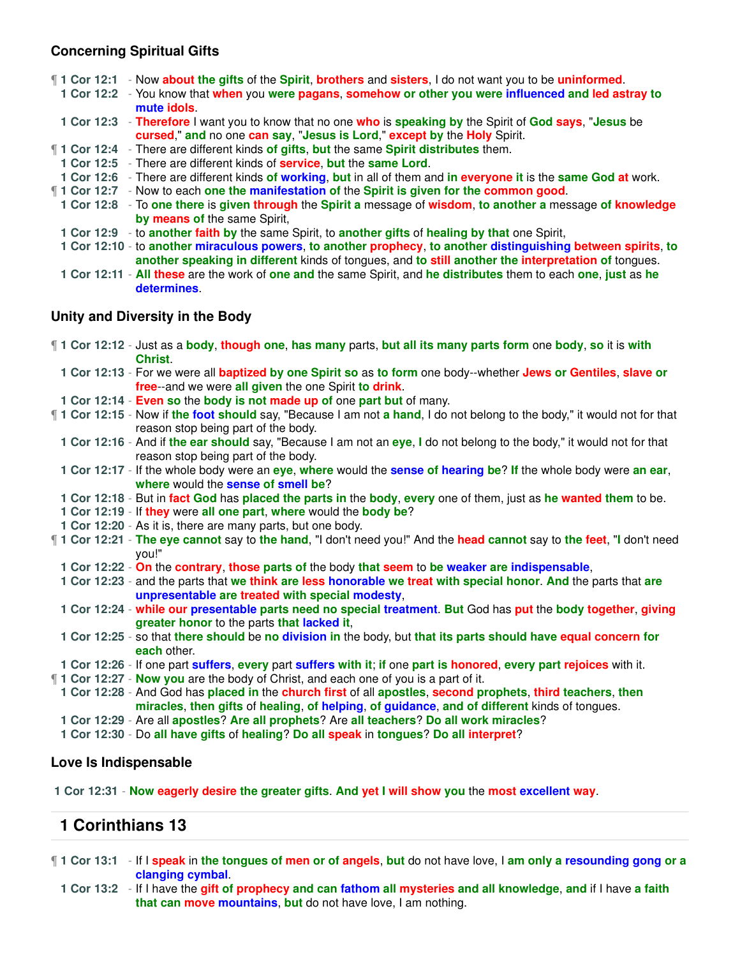### **Concerning Spiritual Gifts**

|                                 | 1 Cor 12:1 - Now about the gifts of the Spirit, brothers and sisters, I do not want you to be uninformed.<br>1 Cor 12:2 - You know that when you were pagans, somehow or other you were influenced and led astray to<br>mute idols. |  |
|---------------------------------|-------------------------------------------------------------------------------------------------------------------------------------------------------------------------------------------------------------------------------------|--|
|                                 | 1 Cor 12:3 - Therefore I want you to know that no one who is speaking by the Spirit of God says, "Jesus be<br>cursed," and no one can say, "Jesus is Lord," except by the Holy Spirit.                                              |  |
|                                 | <b>1 Cor 12:4</b> - There are different kinds of gifts, but the same Spirit distributes them.                                                                                                                                       |  |
|                                 | 1 Cor 12:5 - There are different kinds of service, but the same Lord.                                                                                                                                                               |  |
|                                 | 1 Cor 12:6 - There are different kinds of working, but in all of them and in everyone it is the same God at work.                                                                                                                   |  |
|                                 | 1 Cor 12:7 - Now to each one the manifestation of the Spirit is given for the common good.                                                                                                                                          |  |
|                                 | 1 Cor 12:8 - To one there is given through the Spirit a message of wisdom, to another a message of knowledge<br>by means of the same Spirit,                                                                                        |  |
|                                 | 1 Cor 12:9 - to another faith by the same Spirit, to another gifts of healing by that one Spirit,                                                                                                                                   |  |
|                                 | 1 Cor 12:10 - to another miraculous powers, to another prophecy, to another distinguishing between spirits, to<br>another speaking in different kinds of tongues, and to still another the interpretation of tongues.               |  |
|                                 | 1 Cor 12:11 - All these are the work of one and the same Spirit, and he distributes them to each one, just as he<br>determines.                                                                                                     |  |
| Unity and Diversity in the Body |                                                                                                                                                                                                                                     |  |
|                                 | 1 Cor 12:12 - Just as a body, though one, has many parts, but all its many parts form one body, so it is with<br>Christ.                                                                                                            |  |

- **1 Cor 12:13** For we were all **baptized by one Spirit so** as **to form** one body--whether **Jews or Gentiles**, **slave or free**--and we were **all given** the one Spirit **to drink**.
- **1 Cor 12:14 Even so** the **body is not made up of** one **part but** of many.
- ¶ **1 Cor 12:15** Now if **the foot should** say, "Because I am not **a hand**, I do not belong to the body," it would not for that reason stop being part of the body.
- **1 Cor 12:16** And if **the ear should** say, "Because I am not an **eye**, **I** do not belong to the body," it would not for that reason stop being part of the body.
- **1 Cor 12:17** If the whole body were an **eye**, **where** would the **sense of hearing be**? **If** the whole body were **an ear**, **where** would the **sense of smell be**?
- **1 Cor 12:18** But in **fact God** has **placed the parts in** the **body**, **every** one of them, just as **he wanted them** to be.
- **1 Cor 12:19** If **they** were **all one part**, **where** would the **body be**?
- **1 Cor 12:20** As it is, there are many parts, but one body.
- ¶ **1 Cor 12:21 The eye cannot** say to **the hand**, "I don't need you!" And the **head cannot** say to **the feet**, "**I** don't need you!"
- **1 Cor 12:22 On** the **contrary**, **those parts of** the body **that seem** to **be weaker are indispensable**,
- **1 Cor 12:23** and the parts that **we think are less honorable we treat with special honor**. **And** the parts that **are unpresentable are treated with special modesty**,
- **1 Cor 12:24 while our presentable parts need no special treatment**. **But** God has **put** the **body together**, **giving greater honor** to the parts **that lacked it**,
- **1 Cor 12:25** so that **there should** be **no division in** the body, but **that its parts should have equal concern for each** other.
- **1 Cor 12:26** If one part **suffers**, **every** part **suffers with it**; **if** one **part is honored**, **every part rejoices** with it.
- ¶ **1 Cor 12:27 Now you** are the body of Christ, and each one of you is a part of it.
- **1 Cor 12:28** And God has **placed in** the **church first** of all **apostles**, **second prophets**, **third teachers**, **then miracles**, **then gifts** of **healing**, **of helping**, **of guidance**, **and of different** kinds of tongues.
- **1 Cor 12:29** Are all **apostles**? **Are all prophets**? Are **all teachers**? **Do all work miracles**?
- **1 Cor 12:30** Do **all have gifts** of **healing**? **Do all speak** in **tongues**? **Do all interpret**?

#### **Love Is Indispensable**

**1 Cor 12:31** - **Now eagerly desire the greater gifts**. **And yet I will show you** the **most excellent way**.

# **1 Corinthians 13**

- ¶ **1 Cor 13:1** If I **speak** in **the tongues of men or of angels**, **but** do not have love, I **am only a resounding gong or a clanging cymbal**.
	- **1 Cor 13:2** If I have the **gift of prophecy and can fathom all mysteries and all knowledge**, **and** if I have **a faith that can move mountains**, **but** do not have love, I am nothing.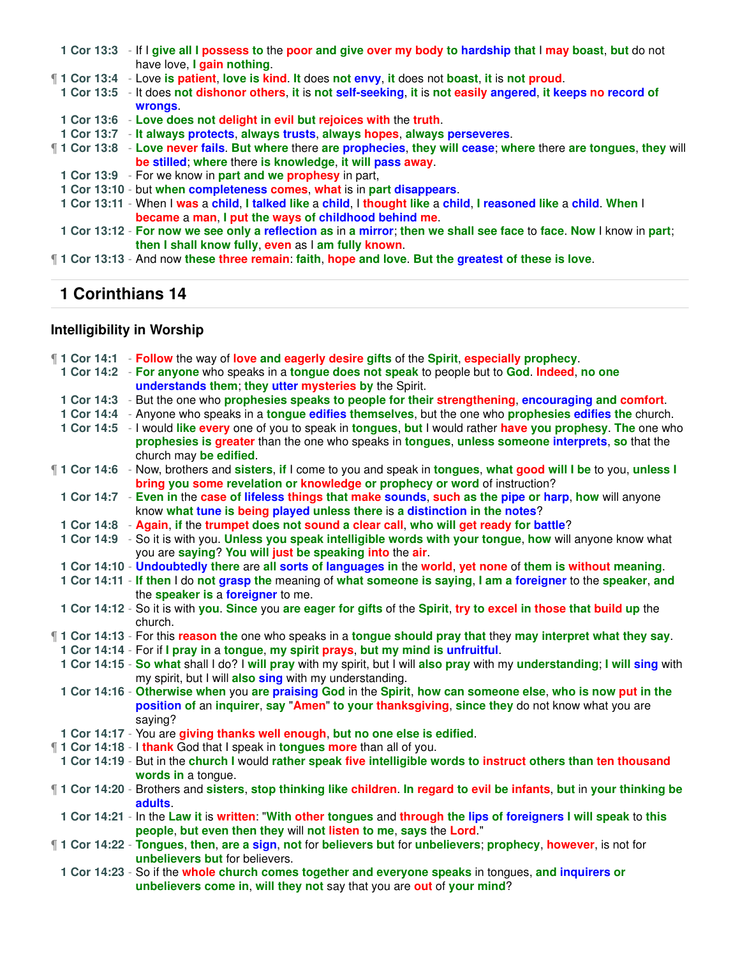| 1 Cor 13:3 - If I give all I possess to the poor and give over my body to hardship that I may boast, but do not<br>have love, I gain nothing. |
|-----------------------------------------------------------------------------------------------------------------------------------------------|
| 1 Cor 13:4 - Love is patient, love is kind. It does not envy, it does not boast, it is not proud.                                             |
| 1 Cor 13:5 - It does not dishonor others, it is not self-seeking, it is not easily angered, it keeps no record of                             |
| wrongs.                                                                                                                                       |
| 1 Cor 13:6 - Love does not delight in evil but rejoices with the truth.                                                                       |
| 1 Cor 13:7 - It always protects, always trusts, always hopes, always perseveres.                                                              |
| <b>1 Cor 13:8</b> - Love never fails. But where there are prophecies, they will cease; where there are tongues, they will                     |
| be stilled; where there is knowledge, it will pass away.                                                                                      |
| 1 Cor 13:9 - For we know in part and we prophesy in part,                                                                                     |
| 1 Cor 13:10 - but when completeness comes, what is in part disappears.                                                                        |
| 1 Cor 13:11 - When I was a child, I talked like a child, I thought like a child, I reasoned like a child. When I                              |
| became a man, I put the ways of childhood behind me.                                                                                          |
| 1 Cor 13:12 - For now we see only a reflection as in a mirror; then we shall see face to face. Now I know in part;                            |
| then I shall know fully, even as I am fully known.                                                                                            |
| 1 Cor 13:13 - And now these three remain: faith, hope and love. But the greatest of these is love.                                            |

# **Intelligibility in Worship**

|  | 1 Cor 14:1 - Follow the way of love and eagerly desire gifts of the Spirit, especially prophecy.                           |
|--|----------------------------------------------------------------------------------------------------------------------------|
|  | 1 Cor 14:2 - For anyone who speaks in a tongue does not speak to people but to God. Indeed, no one                         |
|  | understands them; they utter mysteries by the Spirit.                                                                      |
|  | 1 Cor 14:3 - But the one who prophesies speaks to people for their strengthening, encouraging and comfort.                 |
|  | 1 Cor 14:4 - Anyone who speaks in a tongue edifies themselves, but the one who prophesies edifies the church.              |
|  | 1 Cor 14:5 - I would like every one of you to speak in tongues, but I would rather have you prophesy. The one who          |
|  | prophesies is greater than the one who speaks in tongues, unless someone interprets, so that the                           |
|  | church may be edified.                                                                                                     |
|  | 1 Cor 14:6 - Now, brothers and sisters, if I come to you and speak in tongues, what good will I be to you, unless I        |
|  | bring you some revelation or knowledge or prophecy or word of instruction?                                                 |
|  | 1 Cor 14:7 - Even in the case of lifeless things that make sounds, such as the pipe or harp, how will anyone               |
|  | know what tune is being played unless there is a distinction in the notes?                                                 |
|  | 1 Cor 14:8 - Again, if the trumpet does not sound a clear call, who will get ready for battle?                             |
|  | 1 Cor 14:9 - So it is with you. Unless you speak intelligible words with your tongue, how will anyone know what            |
|  | you are saying? You will just be speaking into the air.                                                                    |
|  | 1 Cor 14:10 - Undoubtedly there are all sorts of languages in the world, yet none of them is without meaning.              |
|  | 1 Cor 14:11 - If then I do not grasp the meaning of what someone is saying, I am a foreigner to the speaker, and           |
|  | the speaker is a foreigner to me.                                                                                          |
|  | 1 Cor 14:12 - So it is with you. Since you are eager for gifts of the Spirit, try to excel in those that build up the      |
|  | church.                                                                                                                    |
|  | <b>1 Cor 14:13</b> - For this reason the one who speaks in a tongue should pray that they may interpret what they say.     |
|  | 1 Cor 14:14 - For if I pray in a tongue, my spirit prays, but my mind is unfruitful.                                       |
|  | 1 Cor 14:15 - So what shall I do? I will pray with my spirit, but I will also pray with my understanding; I will sing with |
|  | my spirit, but I will also sing with my understanding.                                                                     |
|  | 1 Cor 14:16 - Otherwise when you are praising God in the Spirit, how can someone else, who is now put in the               |
|  | position of an inquirer, say "Amen" to your thanksgiving, since they do not know what you are                              |
|  | saying?                                                                                                                    |
|  | 1 Cor 14:17 - You are giving thanks well enough, but no one else is edified.                                               |
|  | 11 Cor 14:18 - I thank God that I speak in tongues more than all of you.                                                   |
|  | 1 Cor 14:19 - But in the church I would rather speak five intelligible words to instruct others than ten thousand          |
|  | words in a tongue.                                                                                                         |
|  | 1 Cor 14:20 - Brothers and sisters, stop thinking like children. In regard to evil be infants, but in your thinking be     |
|  | adults.                                                                                                                    |
|  | 1 Cor 14:21 - In the Law it is written: "With other tongues and through the lips of foreigners I will speak to this        |
|  | people, but even then they will not listen to me, says the Lord."                                                          |
|  | 1 Cor 14:22 - Tongues, then, are a sign, not for believers but for unbelievers; prophecy, however, is not for              |
|  | unbelievers but for believers.                                                                                             |
|  | 1 Cor 14:23 - So if the whole church comes together and everyone speaks in tongues, and inquirers or                       |
|  | unbelievers come in, will they not say that you are out of your mind?                                                      |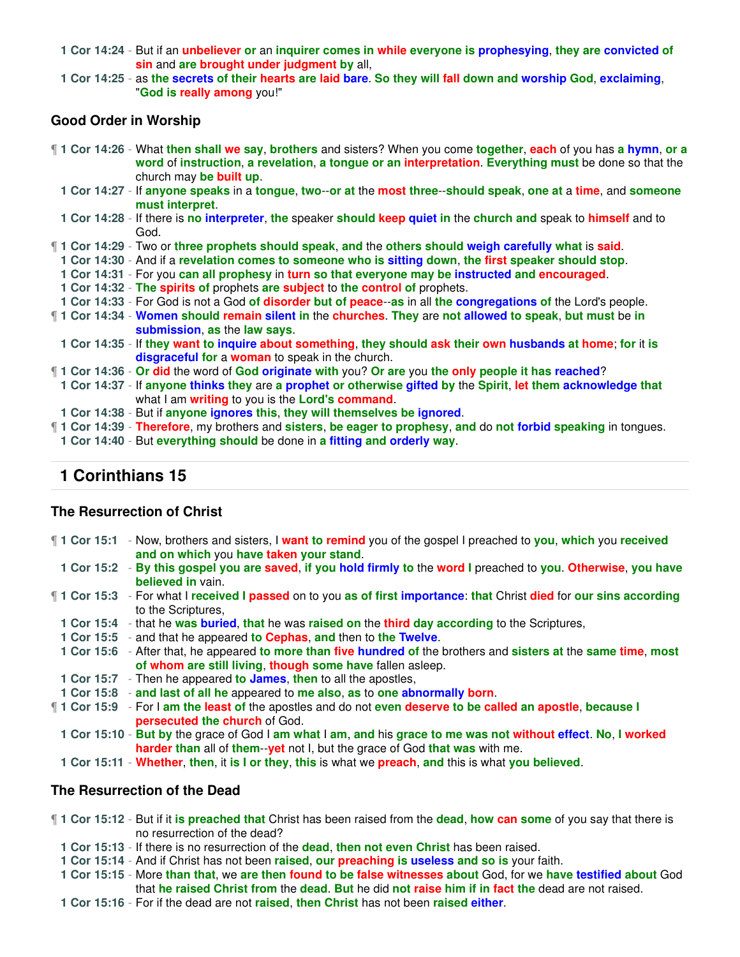**1 Cor 14:24** - But if an **unbeliever or** an **inquirer comes in while everyone is prophesying**, **they are convicted of sin** and **are brought under judgment by** all,

**1 Cor 14:25** - as **the secrets of their hearts are laid bare**. **So they will fall down and worship God**, **exclaiming**, "**God is really among** you!"

#### **Good Order in Worship**

¶ **1 Cor 14:26** - What **then shall we say**, **brothers** and sisters? When you come **together**, **each** of you has **a hymn**, **or a word** of **instruction**, **a revelation**, **a tongue or an interpretation**. **Everything must** be done so that the church may **be built up**.

**1 Cor 14:27** - If **anyone speaks** in a **tongue**, **two**--**or at** the **most three**--**should speak**, **one at** a **time**, and **someone must interpret**.

**1 Cor 14:28** - If there is **no interpreter**, **the** speaker **should keep quiet in** the **church and** speak to **himself** and to God.

¶ **1 Cor 14:29** - Two or **three prophets should speak**, **and** the **others should weigh carefully what** is **said**.

**1 Cor 14:30** - And if a **revelation comes to someone who is sitting down**, **the first speaker should stop**.

- **1 Cor 14:31** For you **can all prophesy** in **turn so that everyone may be instructed and encouraged**.
- **1 Cor 14:32 The spirits of** prophets **are subject** to **the control of** prophets.

**1 Cor 14:33** - For God is not a God **of disorder but of peace**--**as** in all **the congregations of** the Lord's people.

- ¶ **1 Cor 14:34 Women should remain silent in** the **churches**. **They** are **not allowed to speak**, **but must** be **in submission**, **as** the **law says**.
- **1 Cor 14:35** If **they want to inquire about something**, **they should ask their own husbands at home**; **for** it **is disgraceful for** a **woman** to speak in the church.

¶ **1 Cor 14:36** - **Or did** the word of **God originate with** you? **Or are** you **the only people it has reached**?

**1 Cor 14:37** - If **anyone thinks they** are **a prophet or otherwise gifted by** the **Spirit**, **let them acknowledge that** what I am **writing** to you is the **Lord's command**.

**1 Cor 14:38** - But if **anyone ignores this**, **they will themselves be ignored**.

¶ **1 Cor 14:39** - **Therefore**, my brothers and **sisters**, **be eager to prophesy**, **and** do **not forbid speaking** in tongues.

**1 Cor 14:40** - But **everything should** be done in **a fitting and orderly way**.

## **1 Corinthians 15**

#### **The Resurrection of Christ**

- ¶ **1 Cor 15:1** Now, brothers and sisters, I **want to remind** you of the gospel I preached to **you**, **which** you **received and on which** you **have taken your stand**. **1 Cor 15:2** - **By this gospel you are saved**, **if you hold firmly to** the **word I** preached to **you**. **Otherwise**, **you have believed in** vain. ¶ **1 Cor 15:3** - For what I **received I passed** on to you **as of first importance**: **that** Christ **died** for **our sins according** to the Scriptures, **1 Cor 15:4** - that he **was buried**, **that** he was **raised on** the **third day according** to the Scriptures, **1 Cor 15:5** - and that he appeared **to Cephas**, **and** then to **the Twelve**. **1 Cor 15:6** - After that, he appeared **to more than five hundred of** the brothers and **sisters at** the **same time**, **most of whom are still living**, **though some have** fallen asleep. **1 Cor 15:7** - Then he appeared **to James**, **then** to all the apostles, **1 Cor 15:8** - **and last of all he** appeared to **me also**, **as** to **one abnormally born**. ¶ **1 Cor 15:9** - For I **am the least of** the apostles and do not **even deserve to be called an apostle**, **because I persecuted the church** of God. **1 Cor 15:10** - **But by** the grace of God I **am what** I **am**, **and** his **grace to me was not without effect**. **No**, **I worked harder than** all of **them**--**yet** not I, but the grace of God **that was** with me.
	- **1 Cor 15:11 Whether**, **then**, it **is I or they**, **this** is what we **preach**, **and** this is what **you believed**.

#### **The Resurrection of the Dead**

¶ **1 Cor 15:12** - But if it **is preached that** Christ has been raised from the **dead**, **how can some** of you say that there is no resurrection of the dead?

**1 Cor 15:13** - If there is no resurrection of the **dead**, **then not even Christ** has been raised.

**1 Cor 15:14** - And if Christ has not been **raised**, **our preaching is useless and so is** your faith.

**1 Cor 15:15** - More **than that**, we **are then found to be false witnesses about** God, for we **have testified about** God that **he raised Christ from** the **dead**. **But** he did **not raise him if in fact the** dead are not raised.

**1 Cor 15:16** - For if the dead are not **raised**, **then Christ** has not been **raised either**.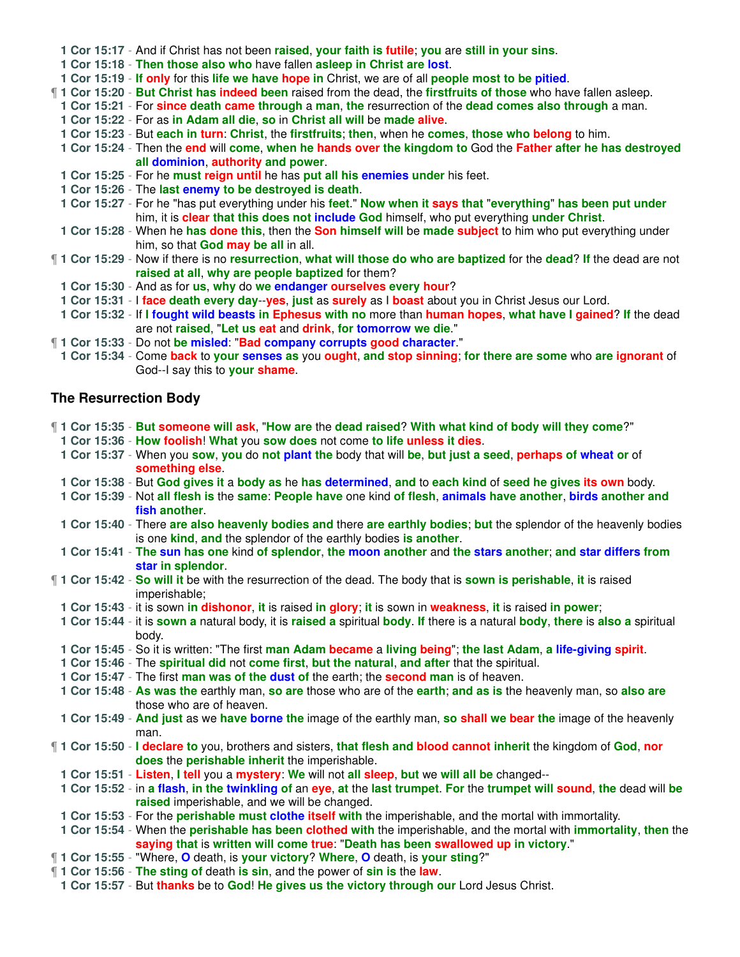| 1 Cor 15:17 - And if Christ has not been raised, your faith is futile; you are still in your sins.                    |
|-----------------------------------------------------------------------------------------------------------------------|
| 1 Cor 15:18 - Then those also who have fallen asleep in Christ are lost.                                              |
| 1 Cor 15:19 - If only for this life we have hope in Christ, we are of all people most to be pitied.                   |
| 1 Cor 15:20 - But Christ has indeed been raised from the dead, the first fruits of those who have fallen asleep.      |
| 1 Cor 15:21 - For since death came through a man, the resurrection of the dead comes also through a man.              |
| 1 Cor 15:22 - For as in Adam all die, so in Christ all will be made alive.                                            |
| 1 Cor 15:23 - But each in turn: Christ, the firstfruits; then, when he comes, those who belong to him.                |
| 1 Cor 15:24 - Then the end will come, when he hands over the kingdom to God the Father after he has destroyed         |
| all dominion, authority and power.                                                                                    |
| 1 Cor 15:25 - For he must reign until he has put all his enemies under his feet.                                      |
| 1 Cor 15:26 - The last enemy to be destroyed is death.                                                                |
| 1 Cor 15:27 - For he "has put everything under his feet." Now when it says that "everything" has been put under       |
| him, it is clear that this does not include God himself, who put everything under Christ.                             |
| 1 Cor 15:28 - When he has done this, then the Son himself will be made subject to him who put everything under        |
| him, so that God may be all in all.                                                                                   |
| 11 Cor 15:29 - Now if there is no resurrection, what will those do who are baptized for the dead? If the dead are not |
| raised at all, why are people baptized for them?                                                                      |
| 1 Cor 15:30 - And as for us, why do we endanger ourselves every hour?                                                 |
| 1 Cor 15:31 - I face death every day--yes, just as surely as I boast about you in Christ Jesus our Lord.              |
| 1 Cor 15:32 - If I fought wild beasts in Ephesus with no more than human hopes, what have I gained? If the dead       |
| are not raised, "Let us eat and drink, for tomorrow we die."                                                          |
| 1 Cor 15:33 - Do not be misled: "Bad company corrupts good character."                                                |
| 1 Cor 15:34 - Come back to your senses as you ought, and stop sinning; for there are some who are ignorant of         |
| God--I say this to your shame.                                                                                        |

# **The Resurrection Body**

|  | 1 Cor 15:35 - But someone will ask, "How are the dead raised? With what kind of body will they come?"                                                                                                                  |
|--|------------------------------------------------------------------------------------------------------------------------------------------------------------------------------------------------------------------------|
|  | 1 Cor 15:36 - How foolish! What you sow does not come to life unless it dies.                                                                                                                                          |
|  | 1 Cor 15:37 - When you sow, you do not plant the body that will be, but just a seed, perhaps of wheat or of<br>something else.                                                                                         |
|  | 1 Cor 15:38 - But God gives it a body as he has determined, and to each kind of seed he gives its own body.                                                                                                            |
|  | 1 Cor 15:39 - Not all flesh is the same: People have one kind of flesh, animals have another, birds another and<br>fish another.                                                                                       |
|  | 1 Cor 15:40 - There are also heavenly bodies and there are earthly bodies; but the splendor of the heavenly bodies<br>is one kind, and the splendor of the earthly bodies is another.                                  |
|  | 1 Cor 15:41 - The sun has one kind of splendor, the moon another and the stars another; and star differs from<br>star in splendor.                                                                                     |
|  | 1 Cor 15:42 - So will it be with the resurrection of the dead. The body that is sown is perishable, it is raised<br>imperishable;                                                                                      |
|  | 1 Cor 15:43 - it is sown in dishonor, it is raised in glory; it is sown in weakness, it is raised in power;                                                                                                            |
|  | 1 Cor 15:44 - it is sown a natural body, it is raised a spiritual body. If there is a natural body, there is also a spiritual<br>body.                                                                                 |
|  | 1 Cor 15:45 - So it is written: "The first man Adam became a living being"; the last Adam, a life-giving spirit.                                                                                                       |
|  | 1 Cor 15:46 - The spiritual did not come first, but the natural, and after that the spiritual.                                                                                                                         |
|  | 1 Cor 15:47 - The first man was of the dust of the earth; the second man is of heaven.                                                                                                                                 |
|  | 1 Cor 15:48 - As was the earthly man, so are those who are of the earth; and as is the heavenly man, so also are<br>those who are of heaven.                                                                           |
|  | 1 Cor 15:49 - And just as we have borne the image of the earthly man, so shall we bear the image of the heavenly<br>man.                                                                                               |
|  | 1 Cor 15:50 - I declare to you, brothers and sisters, that flesh and blood cannot inherit the kingdom of God, nor<br>does the perishable inherit the imperishable.                                                     |
|  | 1 Cor 15:51 - Listen, I tell you a mystery: We will not all sleep, but we will all be changed--                                                                                                                        |
|  | 1 Cor 15:52 - in a flash, in the twinkling of an eye, at the last trumpet. For the trumpet will sound, the dead will be<br>raised imperishable, and we will be changed.                                                |
|  | 1 Cor 15:53 - For the <b>perishable must clothe itself with</b> the imperishable, and the mortal with immortality.                                                                                                     |
|  | 1 Cor 15:54 - When the <b>perishable has been clothed with</b> the imperishable, and the mortal with <i>immortality</i> , then the<br>saying that is written will come true: "Death has been swallowed up in victory." |
|  | 1 Cor 15:55 - "Where, O death, is your victory? Where, O death, is your sting?"                                                                                                                                        |
|  | 1 Cor 15:56 - The sting of death is sin, and the power of sin is the law.                                                                                                                                              |
|  | 1 Cor 15:57 - But thanks be to God! He gives us the victory through our Lord Jesus Christ.                                                                                                                             |
|  |                                                                                                                                                                                                                        |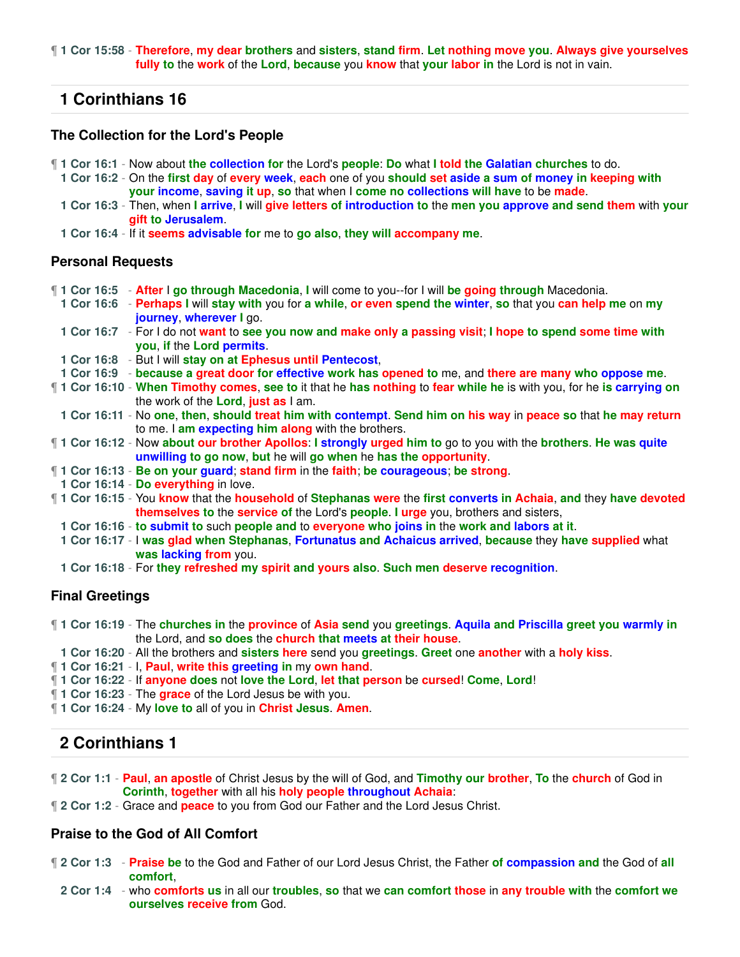¶ **1 Cor 15:58** - **Therefore**, **my dear brothers** and **sisters**, **stand firm**. **Let nothing move you**. **Always give yourselves fully to** the **work** of the **Lord**, **because** you **know** that **your labor in** the Lord is not in vain.

## **1 Corinthians 16**

#### **The Collection for the Lord's People**

- ¶ **1 Cor 16:1** Now about **the collection for** the Lord's **people**: **Do** what **I told the Galatian churches** to do.
	- **1 Cor 16:2** On the **first day** of **every week**, **each** one of you **should set aside a sum of money in keeping with your income**, **saving it up**, **so** that when I **come no collections will have** to be **made**.
	- **1 Cor 16:3** Then, when **I arrive**, **I** will **give letters of introduction to** the **men you approve and send them** with **your gift to Jerusalem**.
- **1 Cor 16:4** If it **seems advisable for** me to **go also**, **they will accompany me**.

#### **Personal Requests**

- ¶ **1 Cor 16:5 After** I **go through Macedonia**, **I** will come to you--for I will **be going through** Macedonia.
	- **1 Cor 16:6 Perhaps I** will **stay with** you for **a while**, **or even spend the winter**, **so** that you **can help me** on **my journey**, **wherever I** go.
- **1 Cor 16:7** For I do not **want** to **see you now and make only a passing visit**; **I hope to spend some time with you**, **if** the **Lord permits**.
- **1 Cor 16:8** But I will **stay on at Ephesus until Pentecost**,
- **1 Cor 16:9 because a great door for effective work has opened to** me, and **there are many who oppose me**.
- ¶ **1 Cor 16:10 When Timothy comes**, **see to** it that he **has nothing** to **fear while he** is with you, for he **is carrying on** the work of the **Lord**, **just as** I am.
- **1 Cor 16:11** No **one**, **then**, **should treat him with contempt**. **Send him on his way** in **peace so** that **he may return** to me. I **am expecting him along** with the brothers.
- ¶ **1 Cor 16:12** Now **about our brother Apollos**: **I strongly urged him to** go to you with the **brothers**. **He was quite unwilling to go now**, **but** he will **go when** he **has the opportunity**.
- ¶ **1 Cor 16:13 Be on your guard**; **stand firm** in the **faith**; **be courageous**; **be strong**.
- **1 Cor 16:14 Do everything** in love.
- ¶ **1 Cor 16:15** You **know** that the **household** of **Stephanas were** the **first converts in Achaia**, **and** they **have devoted themselves to** the **service of** the Lord's **people**. **I urge** you, brothers and sisters,
	- **1 Cor 16:16 to submit to** such **people and** to **everyone who joins in** the **work and labors at it**.
	- **1 Cor 16:17** I **was glad when Stephanas**, **Fortunatus and Achaicus arrived**, **because** they **have supplied** what **was lacking from** you.
	- **1 Cor 16:18** For **they refreshed my spirit and yours also**. **Such men deserve recognition**.

#### **Final Greetings**

- ¶ **1 Cor 16:19** The **churches in** the **province** of **Asia send** you **greetings**. **Aquila and Priscilla greet you warmly in** the Lord, and **so does** the **church that meets at their house**.
- **1 Cor 16:20** All the brothers and **sisters here** send you **greetings**. **Greet** one **another** with a **holy kiss**.
- ¶ **1 Cor 16:21** I, **Paul**, **write this greeting in** my **own hand**.
- ¶ **1 Cor 16:22** If **anyone does** not **love the Lord**, **let that person** be **cursed**! **Come**, **Lord**!
- ¶ **1 Cor 16:23** The **grace** of the Lord Jesus be with you.
- ¶ **1 Cor 16:24** My **love to** all of you in **Christ Jesus**. **Amen**.

# **2 Corinthians 1**

- ¶ **2 Cor 1:1 Paul**, **an apostle** of Christ Jesus by the will of God, and **Timothy our brother**, **To** the **church** of God in **Corinth**, **together** with all his **holy people throughout Achaia**:
- ¶ **2 Cor 1:2** Grace and **peace** to you from God our Father and the Lord Jesus Christ.

#### **Praise to the God of All Comfort**

- ¶ **2 Cor 1:3 Praise be** to the God and Father of our Lord Jesus Christ, the Father **of compassion and** the God of **all comfort**,
	- **2 Cor 1:4** who **comforts us** in all our **troubles**, **so** that we **can comfort those** in **any trouble with** the **comfort we ourselves receive from** God.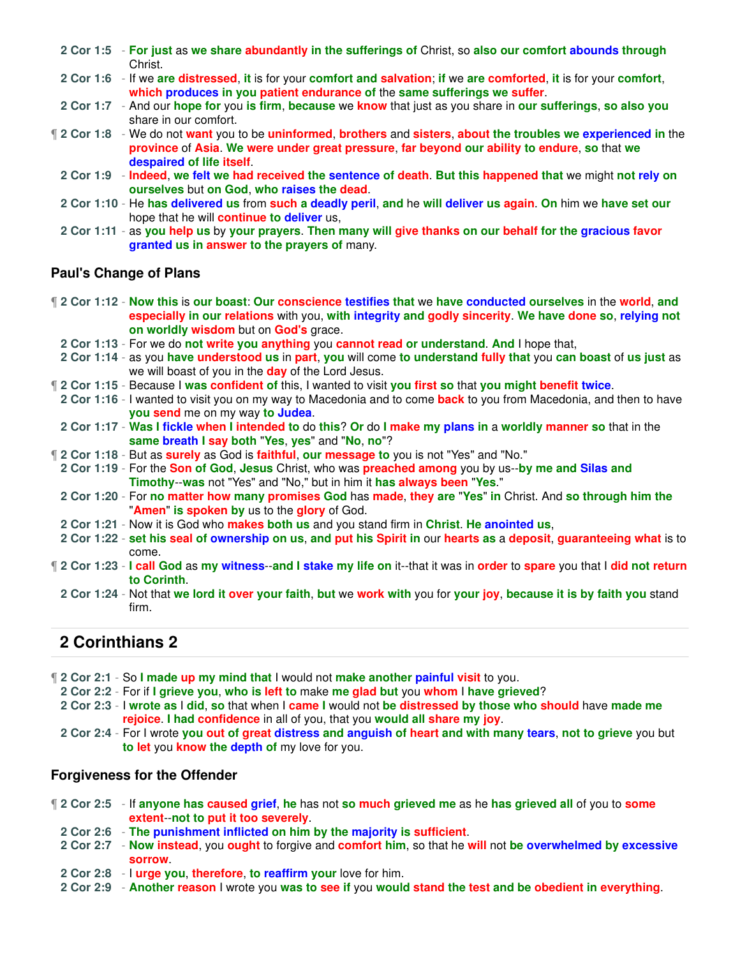- **2 Cor 1:5 For just** as **we share abundantly in the sufferings of** Christ, so **also our comfort abounds through** Christ.
- **2 Cor 1:6** If we **are distressed**, **it** is for your **comfort and salvation**; **if** we **are comforted**, **it** is for your **comfort**, **which produces in you patient endurance of** the **same sufferings we suffer**.
- **2 Cor 1:7** And our **hope for** you **is firm**, **because** we **know** that just as you share in **our sufferings**, **so also you** share in our comfort.
- ¶ **2 Cor 1:8** We do not **want** you to be **uninformed**, **brothers** and **sisters**, **about the troubles we experienced in** the **province** of **Asia**. **We were under great pressure**, **far beyond our ability to endure**, **so** that **we despaired of life itself**.
	- **2 Cor 1:9 Indeed**, **we felt we had received the sentence of death**. **But this happened that** we might **not rely on ourselves** but **on God**, **who raises the dead**.
	- **2 Cor 1:10** He **has delivered us** from **such a deadly peril**, **and** he **will deliver us again**. **On** him we **have set our** hope that he will **continue to deliver** us,
	- **2 Cor 1:11** as **you help us** by **your prayers**. **Then many will give thanks on our behalf for the gracious favor granted us in answer to the prayers of** many.

### **Paul's Change of Plans**

- ¶ **2 Cor 1:12 Now this** is **our boast**: **Our conscience testifies that** we **have conducted ourselves** in the **world**, **and especially in our relations** with you, **with integrity and godly sincerity**. **We have done so**, **relying not on worldly wisdom** but on **God's** grace.
- **2 Cor 1:13** For we do **not write you anything** you **cannot read or understand**. **And** I hope that,
- **2 Cor 1:14** as you **have understood us** in **part**, **you** will come **to understand fully that** you **can boast** of **us just** as we will boast of you in the **day** of the Lord Jesus.
- ¶ **2 Cor 1:15** Because I **was confident of** this, I wanted to visit **you first so** that **you might benefit twice**.
- **2 Cor 1:16** I wanted to visit you on my way to Macedonia and to come **back** to you from Macedonia, and then to have **you send** me on my way **to Judea**.
- 2 Cor 1:17 Was I fickle when I intended to do this? Or do I make my plans in a worldly manner so that in the **same breath I say both** "**Yes**, **yes**" and "**No**, **no**"?
- ¶ **2 Cor 1:18** But as **surely** as God is **faithful**, **our message to** you is not "Yes" and "No."
- **2 Cor 1:19** For the **Son of God**, **Jesus** Christ, who was **preached among** you by us--**by me and Silas and Timothy**--**was** not "Yes" and "No," but in him it **has always been** "**Yes**."
- **2 Cor 1:20** For **no matter how many promises God** has **made**, **they are** "**Yes**" **in** Christ. And **so through him the** "**Amen**" **is spoken by** us to the **glory** of God.
- **2 Cor 1:21** Now it is God who **makes both us** and you stand firm in **Christ**. **He anointed us**,
- **2 Cor 1:22 set his seal of ownership on us**, **and put his Spirit in** our **hearts as** a **deposit**, **guaranteeing what** is to come.
- ¶ **2 Cor 1:23 I call God** as **my witness**--**and I stake my life on** it--that it was in **order** to **spare** you that I **did not return to Corinth**.
	- **2 Cor 1:24** Not that **we lord it over your faith**, **but** we **work with** you for **your joy**, **because it is by faith you** stand firm.

# **2 Corinthians 2**

- ¶ **2 Cor 2:1** So **I made up my mind that** I would not **make another painful visit** to you.
	- **2 Cor 2:2** For if **I grieve you**, **who is left to** make **me glad but** you **whom** I **have grieved**?
	- **2 Cor 2:3** I **wrote as** I **did**, **so** that when I **came I** would not **be distressed by those who should** have **made me rejoice**. **I had confidence** in all of you, that you **would all share my joy**.
	- **2 Cor 2:4** For I wrote **you out of great distress and anguish of heart and with many tears**, **not to grieve** you but **to let** you **know the depth of** my love for you.

### **Forgiveness for the Offender**

- ¶ **2 Cor 2:5** If **anyone has caused grief**, **he** has not **so much grieved me** as he **has grieved all** of you to **some extent**--**not to put it too severely**.
	- **2 Cor 2:6 The punishment inflicted on him by the majority is sufficient**.
	- **2 Cor 2:7 Now instead**, you **ought** to forgive and **comfort him**, so that he **will** not **be overwhelmed by excessive sorrow**.
	- **2 Cor 2:8** I **urge you**, **therefore**, **to reaffirm your** love for him.
	- **2 Cor 2:9 Another reason** I wrote you **was to see if** you **would stand the test and be obedient in everything**.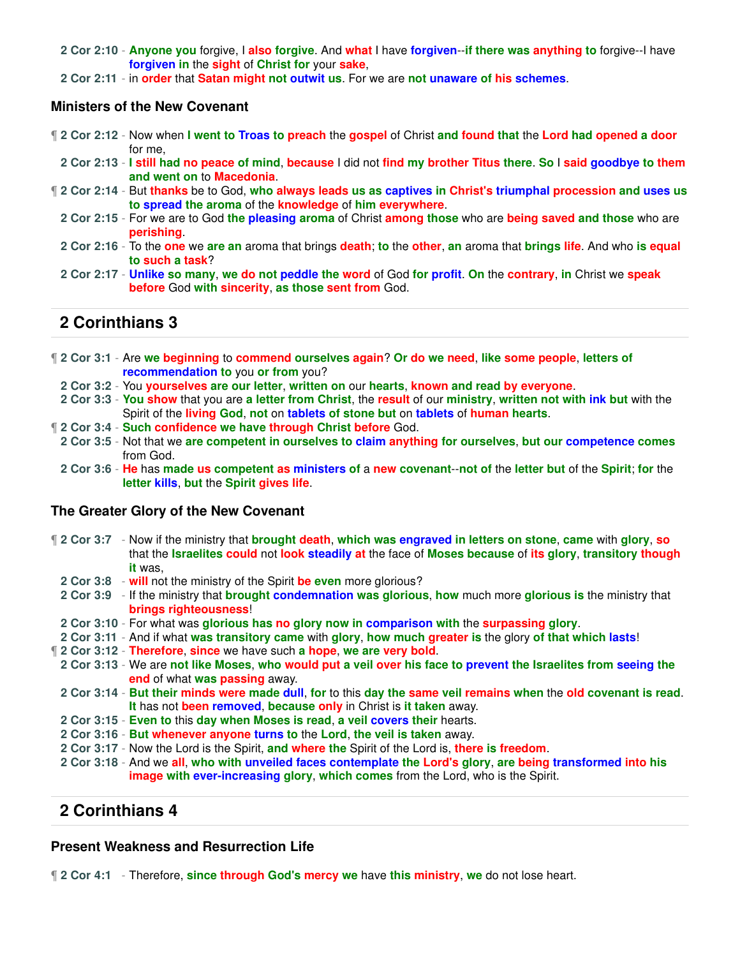**2 Cor 2:10** - **Anyone you** forgive, I **also forgive**. And **what** I have **forgiven**--**if there was anything to** forgive--I have **forgiven in** the **sight** of **Christ for** your **sake**,

**2 Cor 2:11** - in **order** that **Satan might not outwit us**. For we are **not unaware of his schemes**.

#### **Ministers of the New Covenant**

- ¶ **2 Cor 2:12** Now when **I went to Troas to preach** the **gospel** of Christ **and found that** the **Lord had opened a door** for me,
- 2 Cor 2:13 I still had no peace of mind, because I did not find my brother Titus there. So I said goodbye to them **and went on** to **Macedonia**.
- ¶ **2 Cor 2:14** But **thanks** be to God, **who always leads us as captives in Christ's triumphal procession and uses us to spread the aroma** of the **knowledge** of **him everywhere**.
	- **2 Cor 2:15** For we are to God **the pleasing aroma** of Christ **among those** who are **being saved and those** who are **perishing**.
	- **2 Cor 2:16** To the **one** we **are an** aroma that brings **death**; **to** the **other**, **an** aroma that **brings life**. And who **is equal to such a task**?
	- **2 Cor 2:17 Unlike so many**, **we do not peddle the word** of God **for profit**. **On** the **contrary**, **in** Christ we **speak before** God **with sincerity**, **as those sent from** God.

# **2 Corinthians 3**

- ¶ **2 Cor 3:1** Are **we beginning** to **commend ourselves again**? **Or do we need**, **like some people**, **letters of recommendation to** you **or from** you?
- **2 Cor 3:2** You **yourselves are our letter**, **written on** our **hearts**, **known and read by everyone**.
- **2 Cor 3:3 You show** that you are **a letter from Christ**, the **result** of our **ministry**, **written not with ink but** with the Spirit of the **living God**, **not** on **tablets of stone but** on **tablets** of **human hearts**.
- ¶ **2 Cor 3:4 Such confidence we have through Christ before** God.
- **2 Cor 3:5** Not that we **are competent in ourselves to claim anything for ourselves**, **but our competence comes** from God.
- **2 Cor 3:6 He** has **made us competent as ministers of** a **new covenant**--**not of** the **letter but** of the **Spirit**; **for** the **letter kills**, **but** the **Spirit gives life**.

#### **The Greater Glory of the New Covenant**

- ¶ **2 Cor 3:7** Now if the ministry that **brought death**, **which was engraved in letters on stone**, **came** with **glory**, **so** that the **Israelites could** not **look steadily at** the face of **Moses because** of **its glory**, **transitory though it** was,
	- **2 Cor 3:8 will** not the ministry of the Spirit **be even** more glorious?
	- **2 Cor 3:9** If the ministry that **brought condemnation was glorious**, **how** much more **glorious is** the ministry that **brings righteousness**!
	- **2 Cor 3:10** For what was **glorious has no glory now in comparison with** the **surpassing glory**.
- **2 Cor 3:11** And if what **was transitory came** with **glory**, **how much greater is** the glory **of that which lasts**!
- ¶ **2 Cor 3:12 Therefore**, **since** we have such **a hope**, **we are very bold**.
- **2 Cor 3:13** We are **not like Moses**, **who would put a veil over his face to prevent the Israelites from seeing the end** of what **was passing** away.
- **2 Cor 3:14 But their minds were made dull**, **for** to this **day the same veil remains when** the **old covenant is read**. **It** has not **been removed**, **because only** in Christ is **it taken** away.
- **2 Cor 3:15 Even to** this **day when Moses is read**, **a veil covers their** hearts.
- **2 Cor 3:16 But whenever anyone turns to** the **Lord**, **the veil is taken** away.
- **2 Cor 3:17** Now the Lord is the Spirit, **and where the** Spirit of the Lord is, **there is freedom**.
- **2 Cor 3:18** And we **all**, **who with unveiled faces contemplate the Lord's glory**, **are being transformed into his image with ever-increasing glory**, **which comes** from the Lord, who is the Spirit.

## **2 Corinthians 4**

#### **Present Weakness and Resurrection Life**

¶ **2 Cor 4:1** - Therefore, **since through God's mercy we** have **this ministry**, **we** do not lose heart.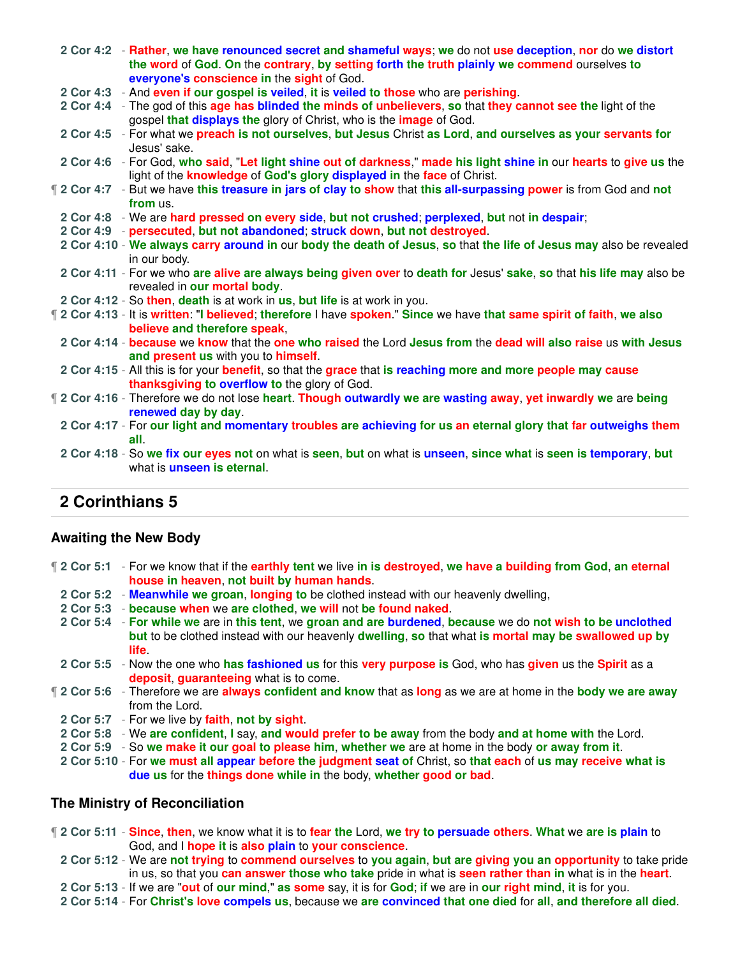|  | 2 Cor 4:2 - Rather, we have renounced secret and shameful ways; we do not use deception, nor do we distort<br>the word of God. On the contrary, by setting forth the truth plainly we commend ourselves to<br>everyone's conscience in the sight of God. |
|--|----------------------------------------------------------------------------------------------------------------------------------------------------------------------------------------------------------------------------------------------------------|
|  | 2 Cor 4:3 - And even if our gospel is veiled, it is veiled to those who are perishing.                                                                                                                                                                   |
|  | 2 Cor 4:4 - The god of this age has blinded the minds of unbelievers, so that they cannot see the light of the<br>gospel that displays the glory of Christ, who is the <i>image</i> of God.                                                              |
|  | 2 Cor 4:5 - For what we preach is not ourselves, but Jesus Christ as Lord, and ourselves as your servants for<br>Jesus' sake.                                                                                                                            |
|  | 2 Cor 4:6 - For God, who said, "Let light shine out of darkness," made his light shine in our hearts to give us the<br>light of the knowledge of God's glory displayed in the face of Christ.                                                            |
|  | If 2 Cor 4:7 - But we have this treasure in jars of clay to show that this all-surpassing power is from God and not<br>from us.                                                                                                                          |
|  | 2 Cor 4:8 - We are hard pressed on every side, but not crushed; perplexed, but not in despair;                                                                                                                                                           |
|  | 2 Cor 4:9 - persecuted, but not abandoned; struck down, but not destroyed.                                                                                                                                                                               |
|  | 2 Cor 4:10 - We always carry around in our body the death of Jesus, so that the life of Jesus may also be revealed<br>in our body.                                                                                                                       |
|  | 2 Cor 4:11 - For we who are alive are always being given over to death for Jesus' sake, so that his life may also be<br>revealed in our mortal body.                                                                                                     |
|  | 2 Cor 4:12 - So then, death is at work in us, but life is at work in you.                                                                                                                                                                                |
|  | 12 Cor 4:13 - It is written: "I believed; therefore I have spoken." Since we have that same spirit of faith, we also<br>believe and therefore speak,                                                                                                     |
|  | 2 Cor 4:14 - because we know that the one who raised the Lord Jesus from the dead will also raise us with Jesus<br>and present us with you to himself.                                                                                                   |
|  | 2 Cor 4:15 - All this is for your benefit, so that the grace that is reaching more and more people may cause<br>thanksgiving to overflow to the glory of God.                                                                                            |
|  | 12 Cor 4:16 - Therefore we do not lose heart. Though outwardly we are wasting away, yet inwardly we are being<br>renewed day by day.                                                                                                                     |
|  | 2 Cor 4:17 - For our light and momentary troubles are achieving for us an eternal glory that far outweighs them<br>all.                                                                                                                                  |
|  | 2 Cor 4:18 - So we fix our eyes not on what is seen, but on what is unseen, since what is seen is temporary, but<br>what is <b>unseen</b> is eternal.                                                                                                    |
|  |                                                                                                                                                                                                                                                          |

#### **Awaiting the New Body**

- ¶ **2 Cor 5:1** For we know that if the **earthly tent** we live **in is destroyed**, **we have a building from God**, **an eternal house in heaven**, **not built by human hands**.
	- **2 Cor 5:2 Meanwhile we groan**, **longing to** be clothed instead with our heavenly dwelling,
	- **2 Cor 5:3 because when** we **are clothed**, **we will** not **be found naked**.
	- **2 Cor 5:4 For while we** are in **this tent**, we **groan and are burdened**, **because** we do **not wish to be unclothed but** to be clothed instead with our heavenly **dwelling**, **so** that what **is mortal may be swallowed up by life**.
- **2 Cor 5:5** Now the one who **has fashioned us** for this **very purpose is** God, who has **given** us the **Spirit** as a **deposit**, **guaranteeing** what is to come.
- ¶ **2 Cor 5:6** Therefore we are **always confident and know** that as **long** as we are at home in the **body we are away** from the Lord.
	- **2 Cor 5:7** For we live by **faith**, **not by sight**.
	- **2 Cor 5:8** We **are confident**, **I** say, **and would prefer to be away** from the body **and at home with** the Lord.
	- **2 Cor 5:9** So **we make it our goal to please him**, **whether we** are at home in the body **or away from it**.
	- **2 Cor 5:10** For **we must all appear before the judgment seat of** Christ, so **that each** of **us may receive what is due us** for the **things done while in** the body, **whether good or bad**.

#### **The Ministry of Reconciliation**

- ¶ **2 Cor 5:11 Since**, **then**, we know what it is to **fear the** Lord, **we try to persuade others**. **What** we **are is plain** to God, and I **hope it** is **also plain** to **your conscience**.
	- **2 Cor 5:12** We are **not trying** to **commend ourselves** to **you again**, **but are giving you an opportunity** to take pride in us, so that you **can answer those who take** pride in what is **seen rather than in** what is in the **heart**.
	- **2 Cor 5:13** If we are "**out** of **our mind**," **as some** say, it is for **God**; **if** we are in **our right mind**, **it** is for you.
	- **2 Cor 5:14** For **Christ's love compels us**, because we **are convinced that one died** for **all**, **and therefore all died**.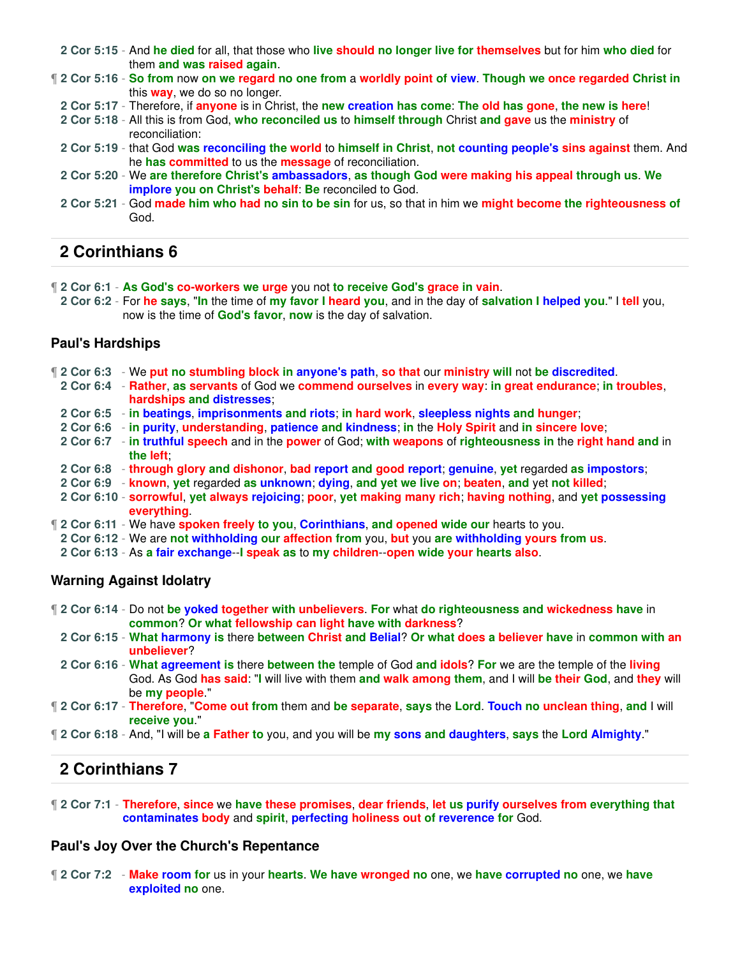- **2 Cor 5:15** And **he died** for all, that those who **live should no longer live for themselves** but for him **who died** for them **and was raised again**.
- ¶ **2 Cor 5:16 So from** now **on we regard no one from** a **worldly point of view**. **Though we once regarded Christ in** this **way**, we do so no longer.
- **2 Cor 5:17** Therefore, if **anyone** is in Christ, the **new creation has come**: **The old has gone**, **the new is here**!
- **2 Cor 5:18** All this is from God, **who reconciled us** to **himself through** Christ **and gave** us the **ministry** of reconciliation:
- **2 Cor 5:19** that God **was reconciling the world** to **himself in Christ**, **not counting people's sins against** them. And he **has committed** to us the **message** of reconciliation.
- **2 Cor 5:20** We **are therefore Christ's ambassadors**, **as though God were making his appeal through us**. **We implore you on Christ's behalf**: **Be** reconciled to God.
- **2 Cor 5:21** God **made him who had no sin to be sin** for us, so that in him we **might become the righteousness of** God.

- ¶ **2 Cor 6:1 As God's co-workers we urge** you not **to receive God's grace in vain**.
- **2 Cor 6:2** For **he says**, "**In** the time of **my favor I heard you**, and in the day of **salvation I helped you**." I **tell** you, now is the time of **God's favor**, **now** is the day of salvation.

### **Paul's Hardships**

- ¶ **2 Cor 6:3** We **put no stumbling block in anyone's path**, **so that** our **ministry will** not **be discredited**.
- **2 Cor 6:4 Rather**, **as servants** of God we **commend ourselves** in **every way**: **in great endurance**; **in troubles**, **hardships and distresses**;
- **2 Cor 6:5 in beatings**, **imprisonments and riots**; **in hard work**, **sleepless nights and hunger**;
- **2 Cor 6:6 in purity**, **understanding**, **patience and kindness**; **in** the **Holy Spirit** and **in sincere love**;
- **2 Cor 6:7 in truthful speech** and in the **power** of God; **with weapons** of **righteousness in** the **right hand and** in **the left**;
- **2 Cor 6:8 through glory and dishonor**, **bad report and good report**; **genuine**, **yet** regarded **as impostors**;
- **2 Cor 6:9 known**, **yet** regarded **as unknown**; **dying**, **and yet we live on**; **beaten**, **and** yet **not killed**;
- **2 Cor 6:10 sorrowful**, **yet always rejoicing**; **poor**, **yet making many rich**; **having nothing**, and **yet possessing everything**.
- ¶ **2 Cor 6:11** We have **spoken freely to you**, **Corinthians**, **and opened wide our** hearts to you.
- **2 Cor 6:12** We are **not withholding our affection from** you, **but** you **are withholding yours from us**.
- **2 Cor 6:13** As **a fair exchange**--**I speak as** to **my children**--**open wide your hearts also**.

### **Warning Against Idolatry**

- ¶ **2 Cor 6:14** Do not **be yoked together with unbelievers**. **For** what **do righteousness and wickedness have** in **common**? **Or what fellowship can light have with darkness**?
- **2 Cor 6:15 What harmony is** there **between Christ and Belial**? **Or what does a believer have** in **common with an unbeliever**?
- **2 Cor 6:16 What agreement is** there **between the** temple of God **and idols**? **For** we are the temple of the **living** God. As God **has said**: "**I** will live with them **and walk among them**, and I will **be their God**, and **they** will be **my people**."
- ¶ **2 Cor 6:17 Therefore**, "**Come out from** them and **be separate**, **says** the **Lord**. **Touch no unclean thing**, **and** I will **receive you**."
- ¶ **2 Cor 6:18** And, "I will be **a Father to** you, and you will be **my sons and daughters**, **says** the **Lord Almighty**."

# **2 Corinthians 7**

¶ **2 Cor 7:1** - **Therefore**, **since** we **have these promises**, **dear friends**, **let us purify ourselves from everything that contaminates body** and **spirit**, **perfecting holiness out of reverence for** God.

### **Paul's Joy Over the Church's Repentance**

¶ **2 Cor 7:2** - **Make room for** us in your **hearts**. **We have wronged no** one, we **have corrupted no** one, we **have exploited no** one.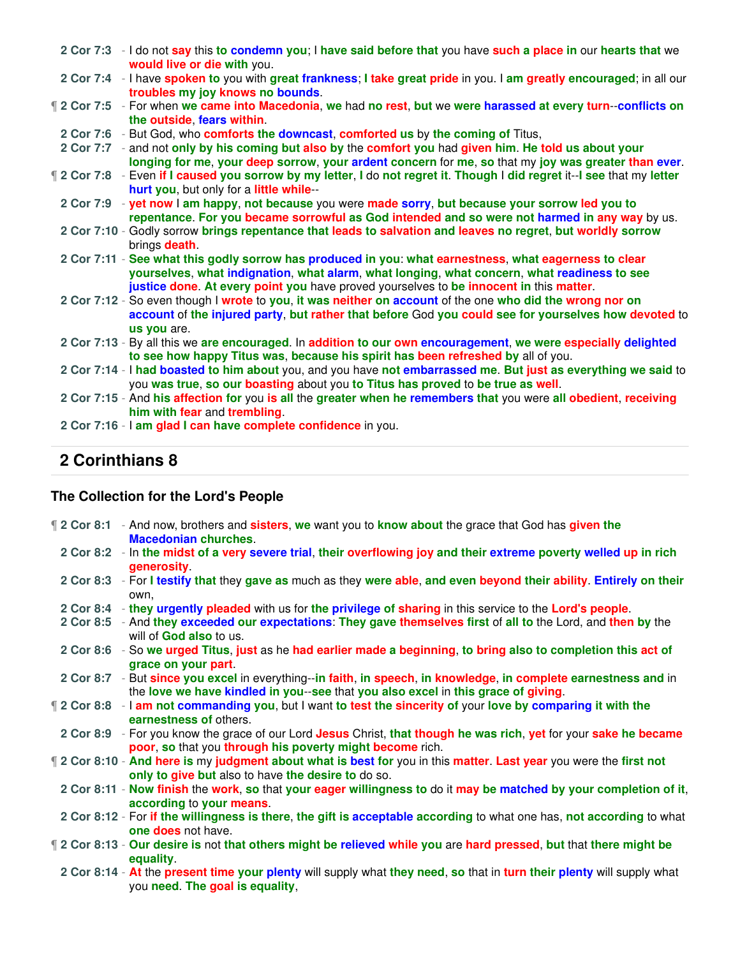|  | 2 Cor 7:3 - I do not say this to condemn you; I have said before that you have such a place in our hearts that we<br>would live or die with you.                                                               |
|--|----------------------------------------------------------------------------------------------------------------------------------------------------------------------------------------------------------------|
|  | 2 Cor 7:4 - I have spoken to you with great frankness; I take great pride in you. I am greatly encouraged; in all our<br>troubles my joy knows no bounds.                                                      |
|  | 12 Cor 7:5 - For when we came into Macedonia, we had no rest, but we were harassed at every turn--conflicts on<br>the outside, fears within                                                                    |
|  | 2 Cor 7:6 - But God, who comforts the downcast, comforted us by the coming of Titus,                                                                                                                           |
|  | 2 Cor 7:7 - and not only by his coming but also by the comfort you had given him. He told us about your<br>longing for me, your deep sorrow, your ardent concern for me, so that my joy was greater than ever. |
|  | 12 Cor 7:8 - Even if I caused you sorrow by my letter, I do not regret it. Though I did regret it--I see that my letter<br>hurt you, but only for a little while--                                             |
|  | 2 Cor 7:9 - yet now I am happy, not because you were made sorry, but because your sorrow led you to                                                                                                            |
|  | repentance. For you became sorrowful as God intended and so were not harmed in any way by us.                                                                                                                  |
|  | 2 Cor 7:10 - Godly sorrow brings repentance that leads to salvation and leaves no regret, but worldly sorrow<br>brings <b>death</b> .                                                                          |
|  | 2 Cor 7:11 - See what this godly sorrow has produced in you: what earnestness, what eagerness to clear<br>yourselves, what indignation, what alarm, what longing, what concern, what readiness to see          |
|  | justice done. At every point you have proved yourselves to be innocent in this matter.                                                                                                                         |
|  | 2 Cor 7:12 - So even though I wrote to you, it was neither on account of the one who did the wrong nor on                                                                                                      |
|  | account of the injured party, but rather that before God you could see for yourselves how devoted to<br>us you are.                                                                                            |
|  | 2 Cor 7:13 - By all this we are encouraged. In addition to our own encouragement, we were especially delighted                                                                                                 |
|  | to see how happy Titus was, because his spirit has been refreshed by all of you.                                                                                                                               |
|  | 2 Cor 7:14 - I had boasted to him about you, and you have not embarrassed me. But just as everything we said to<br>you was true, so our boasting about you to Titus has proved to be true as well.             |
|  | 2 Cor 7:15 - And his affection for you is all the greater when he remembers that you were all obedient, receiving                                                                                              |
|  | him with fear and trembling.                                                                                                                                                                                   |
|  | 2 Cor 7:16 - I am glad I can have complete confidence in you.                                                                                                                                                  |
|  |                                                                                                                                                                                                                |

# **The Collection for the Lord's People**

| 12 Cor 8:1 - And now, brothers and sisters, we want you to know about the grace that God has given the<br><b>Macedonian churches.</b>                                                                |
|------------------------------------------------------------------------------------------------------------------------------------------------------------------------------------------------------|
| 2 Cor 8:2 - In the midst of a very severe trial, their overflowing joy and their extreme poverty welled up in rich<br>generosity                                                                     |
| 2 Cor 8:3 - For I testify that they gave as much as they were able, and even beyond their ability. Entirely on their<br>own.                                                                         |
| 2 Cor 8:4 - they urgently pleaded with us for the privilege of sharing in this service to the Lord's people.                                                                                         |
| 2 Cor 8:5 - And they exceeded our expectations: They gave themselves first of all to the Lord, and then by the<br>will of God also to us.                                                            |
| 2 Cor 8:6 - So we urged Titus, just as he had earlier made a beginning, to bring also to completion this act of<br>grace on your part.                                                               |
| 2 Cor 8:7 - But since you excel in everything--in faith, in speech, in knowledge, in complete earnestness and in<br>the love we have kindled in you-see that you also excel in this grace of giving. |
| 12 Cor 8:8 - I am not commanding you, but I want to test the sincerity of your love by comparing it with the<br>earnestness of others.                                                               |
| 2 Cor 8:9 - For you know the grace of our Lord Jesus Christ, that though he was rich, yet for your sake he became<br>poor, so that you through his poverty might become rich.                        |
| 12 Cor 8:10 - And here is my judgment about what is best for you in this matter. Last year you were the first not<br>only to give but also to have the desire to do so.                              |
| 2 Cor 8:11 - Now finish the work, so that your eager willingness to do it may be matched by your completion of it,<br>according to your means                                                        |
| 2 Cor 8:12 - For if the willingness is there, the gift is acceptable according to what one has, not according to what<br>one does not have.                                                          |
| 12 Cor 8:13 - Our desire is not that others might be relieved while you are hard pressed, but that there might be<br>equality.                                                                       |
| 2 Cor 8:14 - At the present time your plenty will supply what they need, so that in turn their plenty will supply what<br>you need. The goal is equality,                                            |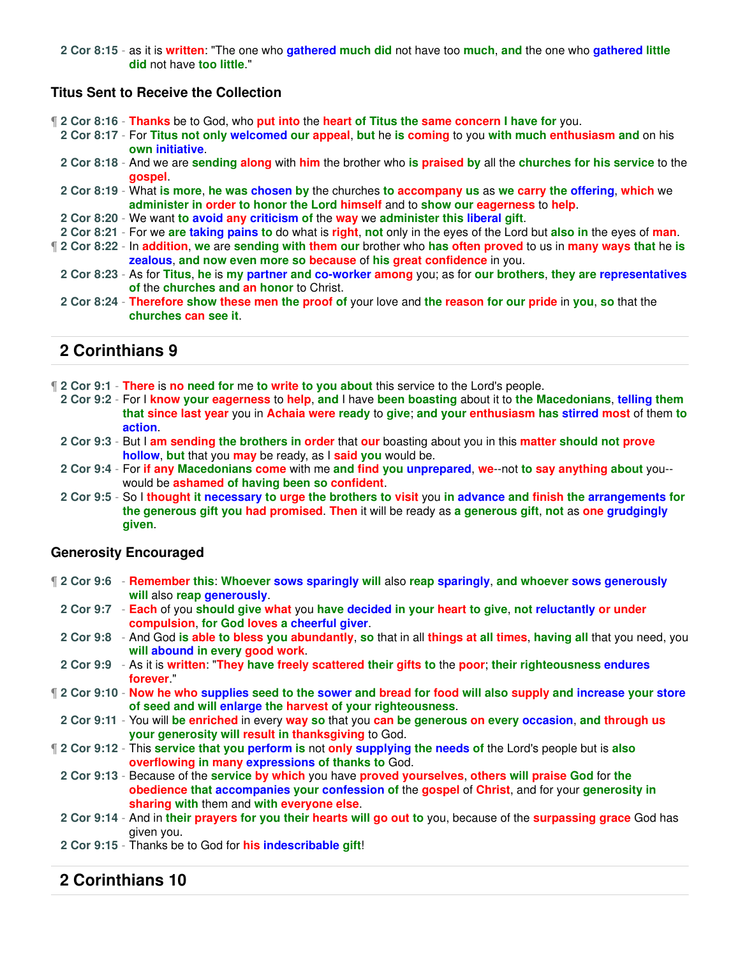**2 Cor 8:15** - as it is **written**: "The one who **gathered much did** not have too **much**, **and** the one who **gathered little did** not have **too little**."

### **Titus Sent to Receive the Collection**

¶ **2 Cor 8:16** - **Thanks** be to God, who **put into** the **heart of Titus the same concern I have for** you.

- **2 Cor 8:17** For **Titus not only welcomed our appeal**, **but** he **is coming** to you **with much enthusiasm and** on his **own initiative**.
- **2 Cor 8:18** And we are **sending along** with **him** the brother who **is praised by** all the **churches for his service** to the **gospel**.
- **2 Cor 8:19** What **is more**, **he was chosen by** the churches **to accompany us** as **we carry the offering**, **which** we **administer in order to honor the Lord himself** and to **show our eagerness** to **help**.
- **2 Cor 8:20** We want **to avoid any criticism of** the **way** we **administer this liberal gift**.
- **2 Cor 8:21** For we **are taking pains to** do what is **right**, **not** only in the eyes of the Lord but **also in** the eyes of **man**.
- ¶ **2 Cor 8:22** In **addition**, **we** are **sending with them our** brother who **has often proved** to us in **many ways that** he **is zealous**, **and now even more so because** of **his great confidence** in you.
	- **2 Cor 8:23** As for **Titus**, **he** is **my partner and co-worker among** you; as for **our brothers**, **they are representatives of** the **churches and an honor** to Christ.
	- **2 Cor 8:24 Therefore show these men the proof of** your love and **the reason for our pride** in **you**, **so** that the **churches can see it**.

# **2 Corinthians 9**

- ¶ **2 Cor 9:1 There** is **no need for** me **to write to you about** this service to the Lord's people.
- **2 Cor 9:2** For I **know your eagerness** to **help**, **and** I have **been boasting** about it to **the Macedonians**, **telling them that since last year** you in **Achaia were ready** to **give**; **and your enthusiasm has stirred most** of them **to action**.
- **2 Cor 9:3** But I **am sending the brothers in order** that **our** boasting about you in this **matter should not prove hollow**, **but** that you **may** be ready, as I **said you** would be.
- **2 Cor 9:4** For **if any Macedonians come** with me **and find you unprepared**, **we**--not **to say anything about** you- would be **ashamed of having been so confident**.
- **2 Cor 9:5** So I **thought it necessary to urge the brothers to visit** you **in advance and finish the arrangements for the generous gift you had promised**. **Then** it will be ready as **a generous gift**, **not** as **one grudgingly given**.

### **Generosity Encouraged**

- ¶ **2 Cor 9:6 Remember this**: **Whoever sows sparingly will** also **reap sparingly**, **and whoever sows generously will** also **reap generously**. **2 Cor 9:7** - **Each** of you **should give what** you **have decided in your heart to give**, **not reluctantly or under compulsion**, **for God loves a cheerful giver**. **2 Cor 9:8** - And God **is able to bless you abundantly**, **so** that in all **things at all times**, **having all** that you need, you **will abound in every good work**. **2 Cor 9:9** - As it is **written**: "**They have freely scattered their gifts to** the **poor**; **their righteousness endures forever**." ¶ **2 Cor 9:10** - **Now he who supplies seed to the sower and bread for food will also supply and increase your store of seed and will enlarge the harvest of your righteousness**. **2 Cor 9:11** - You will **be enriched** in every **way so** that you **can be generous on every occasion**, **and through us your generosity will result in thanksgiving** to God. ¶ **2 Cor 9:12** - This **service that you perform is** not **only supplying the needs of** the Lord's people but is **also overflowing in many expressions of thanks to** God. **2 Cor 9:13** - Because of the **service by which** you have **proved yourselves**, **others will praise God** for **the obedience that accompanies your confession of** the **gospel** of **Christ**, and for your **generosity in sharing with** them and **with everyone else**. **2 Cor 9:14** - And in **their prayers for you their hearts will go out to** you, because of the **surpassing grace** God has given you.
	- **2 Cor 9:15** Thanks be to God for **his indescribable gift**!

# **2 Corinthians 10**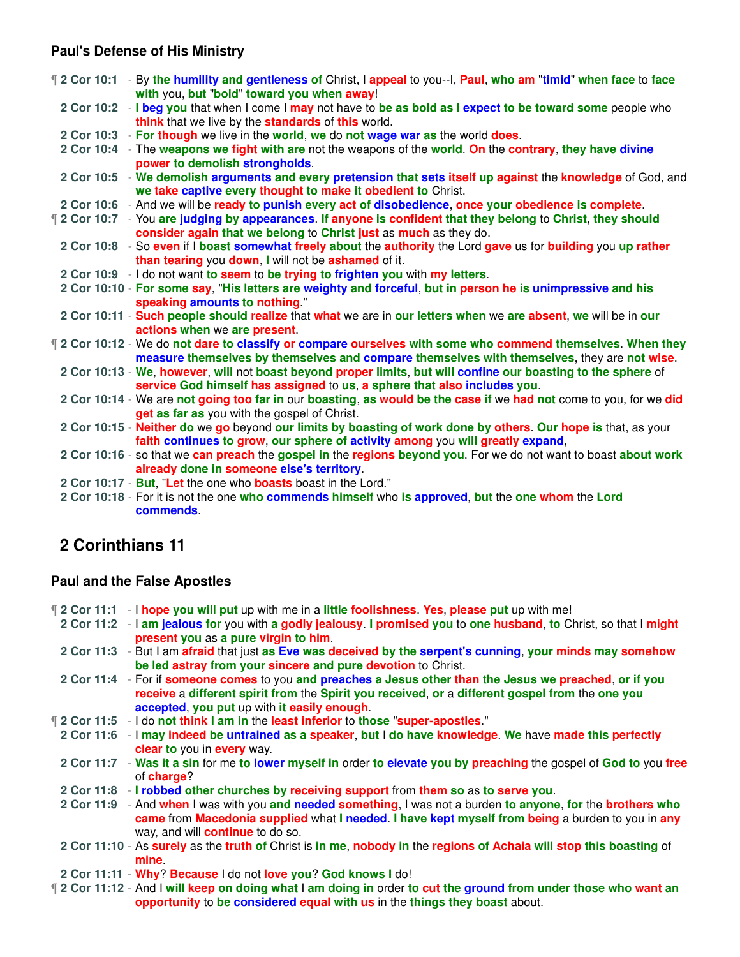### **Paul's Defense of His Ministry**

|  | 12 Cor 10:1 - By the humility and gentleness of Christ, I appeal to you--I, Paul, who am "timid" when face to face<br>with you, but "bold" toward you when away!                           |
|--|--------------------------------------------------------------------------------------------------------------------------------------------------------------------------------------------|
|  | 2 Cor 10:2 - I beg you that when I come I may not have to be as bold as I expect to be toward some people who<br>think that we live by the standards of this world.                        |
|  | 2 Cor 10:3 - For though we live in the world, we do not wage war as the world does.                                                                                                        |
|  | 2 Cor 10:4 - The weapons we fight with are not the weapons of the world. On the contrary, they have divine                                                                                 |
|  | power to demolish strongholds.                                                                                                                                                             |
|  | 2 Cor 10:5 - We demolish arguments and every pretension that sets itself up against the knowledge of God, and                                                                              |
|  | we take captive every thought to make it obedient to Christ.                                                                                                                               |
|  | 2 Cor 10:6 - And we will be ready to punish every act of disobedience, once your obedience is complete.                                                                                    |
|  | 12 Cor 10:7 - You are judging by appearances. If anyone is confident that they belong to Christ, they should                                                                               |
|  | consider again that we belong to Christ just as much as they do.                                                                                                                           |
|  | 2 Cor 10:8 - So even if I boast somewhat freely about the authority the Lord gave us for building you up rather                                                                            |
|  | than tearing you down, I will not be ashamed of it.                                                                                                                                        |
|  | 2 Cor 10:9 - I do not want to seem to be trying to frighten you with my letters.                                                                                                           |
|  | 2 Cor 10:10 - For some say, "His letters are weighty and forceful, but in person he is unimpressive and his                                                                                |
|  | speaking amounts to nothing."                                                                                                                                                              |
|  | 2 Cor 10:11 - Such people should realize that what we are in our letters when we are absent, we will be in our                                                                             |
|  | actions when we are present.                                                                                                                                                               |
|  | [2 Cor 10:12 - We do not dare to classify or compare ourselves with some who commend themselves. When they                                                                                 |
|  | measure themselves by themselves and compare themselves with themselves, they are not wise.                                                                                                |
|  | 2 Cor 10:13 - We, however, will not boast beyond proper limits, but will confine our boasting to the sphere of<br>service God himself has assigned to us, a sphere that also includes you. |
|  | 2 Cor 10:14 - We are not going too far in our boasting, as would be the case if we had not come to you, for we did                                                                         |
|  | get as far as you with the gospel of Christ.                                                                                                                                               |
|  | 2 Cor 10:15 - Neither do we go beyond our limits by boasting of work done by others. Our hope is that, as your                                                                             |
|  | faith continues to grow, our sphere of activity among you will greatly expand,                                                                                                             |
|  | 2 Cor 10:16 - so that we can preach the gospel in the regions beyond you. For we do not want to boast about work                                                                           |
|  | already done in someone else's territory.                                                                                                                                                  |
|  | 2 Cor 10:17 - But, "Let the one who boasts boast in the Lord."                                                                                                                             |
|  | 2 Cor 10:18 - For it is not the one who commends himself who is approved, but the one whom the Lord                                                                                        |
|  | commends.                                                                                                                                                                                  |

# **2 Corinthians 11**

### **Paul and the False Apostles**

¶ **2 Cor 11:1** - I **hope you will put** up with me in a **little foolishness**. **Yes**, **please put** up with me!

- **2 Cor 11:2** I **am jealous for** you with **a godly jealousy**. **I promised you** to **one husband**, **to** Christ, so that I **might present you** as **a pure virgin to him**.
- **2 Cor 11:3** But I am **afraid** that just **as Eve was deceived by the serpent's cunning**, **your minds may somehow be led astray from your sincere and pure devotion** to Christ.
- **2 Cor 11:4** For if **someone comes** to you **and preaches a Jesus other than the Jesus we preached**, **or if you receive** a **different spirit from** the **Spirit you received**, **or** a **different gospel from** the **one you accepted**, **you put** up with **it easily enough**.
- ¶ **2 Cor 11:5** I do **not think I am in** the **least inferior** to **those** "**super-apostles**."
- **2 Cor 11:6** I **may indeed be untrained as a speaker**, **but** I **do have knowledge**. **We** have **made this perfectly clear to** you in **every** way.
- **2 Cor 11:7 Was it a sin** for me **to lower myself in** order **to elevate you by preaching** the gospel of **God to** you **free** of **charge**?
- **2 Cor 11:8 I robbed other churches by receiving support** from **them so** as **to serve you**.
- **2 Cor 11:9** And **when** I was with you **and needed something**, I was not a burden **to anyone**, **for** the **brothers who came** from **Macedonia supplied** what **I needed**. **I have kept myself from being** a burden to you in **any** way, and will **continue** to do so.
- **2 Cor 11:10** As **surely** as the **truth of** Christ is **in me**, **nobody in** the **regions of Achaia will stop this boasting** of **mine**.
- **2 Cor 11:11 Why**? **Because** I do not **love you**? **God knows I** do!
- ¶ **2 Cor 11:12** And I **will keep on doing what** I **am doing in** order **to cut the ground from under those who want an opportunity** to **be considered equal with us** in the **things they boast** about.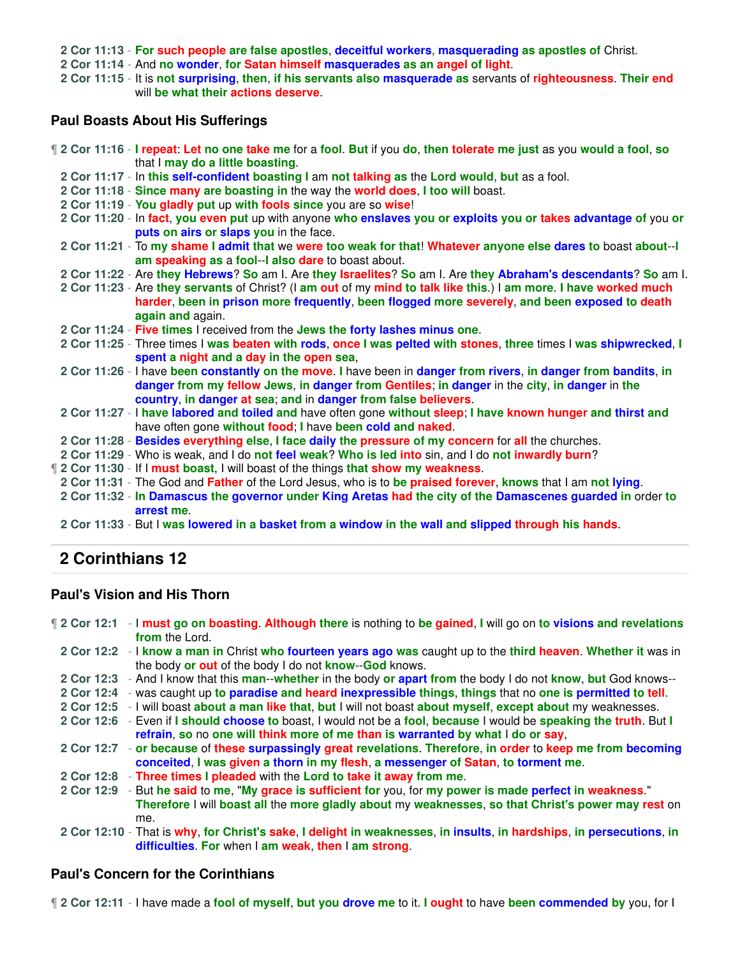**2 Cor 11:13** - **For such people are false apostles**, **deceitful workers**, **masquerading as apostles of** Christ.

**2 Cor 11:14** - And **no wonder**, **for Satan himself masquerades as an angel of light**.

**2 Cor 11:15** - It is **not surprising**, **then**, **if his servants also masquerade as** servants of **righteousness**. **Their end** will **be what their actions deserve**.

### **Paul Boasts About His Sufferings**

¶ **2 Cor 11:16** - **I repeat**: **Let no one take me** for a **fool**. **But** if you **do**, **then tolerate me just** as you **would a fool**, **so** that I **may do a little boasting**.

- **2 Cor 11:17** In **this self-confident boasting I** am **not talking as** the **Lord would**, **but** as a fool.
- **2 Cor 11:18 Since many are boasting in** the way the **world does**, **I too will** boast.
- **2 Cor 11:19 You gladly put** up **with fools since** you are so **wise**!
- **2 Cor 11:20** In **fact**, **you even put** up with anyone **who enslaves you or exploits you or takes advantage of** you **or puts on airs or slaps you** in the face.
- **2 Cor 11:21** To **my shame I admit that** we **were too weak for that**! **Whatever anyone else dares to** boast **about**--**I am speaking as** a **fool**--**I also dare** to boast about.
- **2 Cor 11:22** Are **they Hebrews**? **So** am I. Are **they Israelites**? **So** am I. Are **they Abraham's descendants**? **So** am I.
- **2 Cor 11:23** Are **they servants** of Christ? (I **am out** of my **mind to talk like this**.) I **am more**. **I have worked much harder**, **been in prison more frequently**, **been flogged more severely**, **and been exposed to death again and** again.
- **2 Cor 11:24 Five times** I received from the **Jews the forty lashes minus one**.
- **2 Cor 11:25** Three times I **was beaten with rods**, **once I was pelted with stones**, **three** times I **was shipwrecked**, **I spent a night and a day in the open sea**,
- **2 Cor 11:26** I have **been constantly on the move**. **I** have been in **danger from rivers**, **in danger from bandits**, **in danger from my fellow Jews**, **in danger from Gentiles**; **in danger** in the **city**, **in danger** in **the country**, **in danger at sea**; **and** in **danger from false believers**.
- **2 Cor 11:27** I **have labored and toiled and** have often gone **without sleep**; **I have known hunger and thirst and** have often gone **without food**; **I** have **been cold and naked**.
- **2 Cor 11:28 Besides everything else**, **I face daily the pressure of my concern** for **all** the churches.
- **2 Cor 11:29** Who is weak, and I do **not feel weak**? **Who is led into** sin, and I do **not inwardly burn**?
- ¶ **2 Cor 11:30** If I **must boast**, I will boast of the things **that show my weakness**.
- **2 Cor 11:31** The God and **Father** of the Lord Jesus, who is to **be praised forever**, **knows** that I am **not lying**.
- **2 Cor 11:32 In Damascus the governor under King Aretas had the city of the Damascenes guarded in** order **to arrest me**.
- **2 Cor 11:33** But I **was lowered in a basket from a window in the wall and slipped through his hands**.

# **2 Corinthians 12**

### **Paul's Vision and His Thorn**

¶ **2 Cor 12:1** - I **must go on boasting**. **Although there** is nothing to **be gained**, **I** will go on **to visions and revelations from** the Lord. **2 Cor 12:2** - I **know a man in** Christ **who fourteen years ago was** caught up to the **third heaven**. **Whether it** was in the body **or out** of the body I do not **know**--**God** knows. **2 Cor 12:3** - And I know that this **man**--**whether** in the body **or apart from** the body I do not **know**, **but** God knows-- **2 Cor 12:4** - was caught up **to paradise and heard inexpressible things**, **things** that no **one is permitted to tell**. **2 Cor 12:5** - I will boast **about a man like that**, **but** I will not boast **about myself**, **except about** my weaknesses. **2 Cor 12:6** - Even if **I should choose to** boast, I would not be a **fool**, **because** I would be **speaking the truth**. But **I refrain**, **so** no **one will think more of me than is warranted by what** I **do or say**, **2 Cor 12:7** - **or because** of **these surpassingly great revelations**. **Therefore**, **in order** to **keep me from becoming conceited**, **I was given a thorn in my flesh**, **a messenger of Satan**, **to torment me**. **2 Cor 12:8** - **Three times I pleaded** with the **Lord to take it away from me**. **2 Cor 12:9** - But **he said** to **me**, "**My grace is sufficient for** you, for **my power is made perfect in weakness**." **Therefore** I will **boast all** the **more gladly about** my **weaknesses**, **so that Christ's power may rest** on me. **2 Cor 12:10** - That is **why**, **for Christ's sake**, **I delight in weaknesses**, **in insults**, **in hardships**, **in persecutions**, **in difficulties**. **For** when I **am weak**, **then** I **am strong**.

### **Paul's Concern for the Corinthians**

¶ **2 Cor 12:11** - I have made a **fool of myself**, **but you drove me** to it. **I ought** to have **been commended by** you, for I